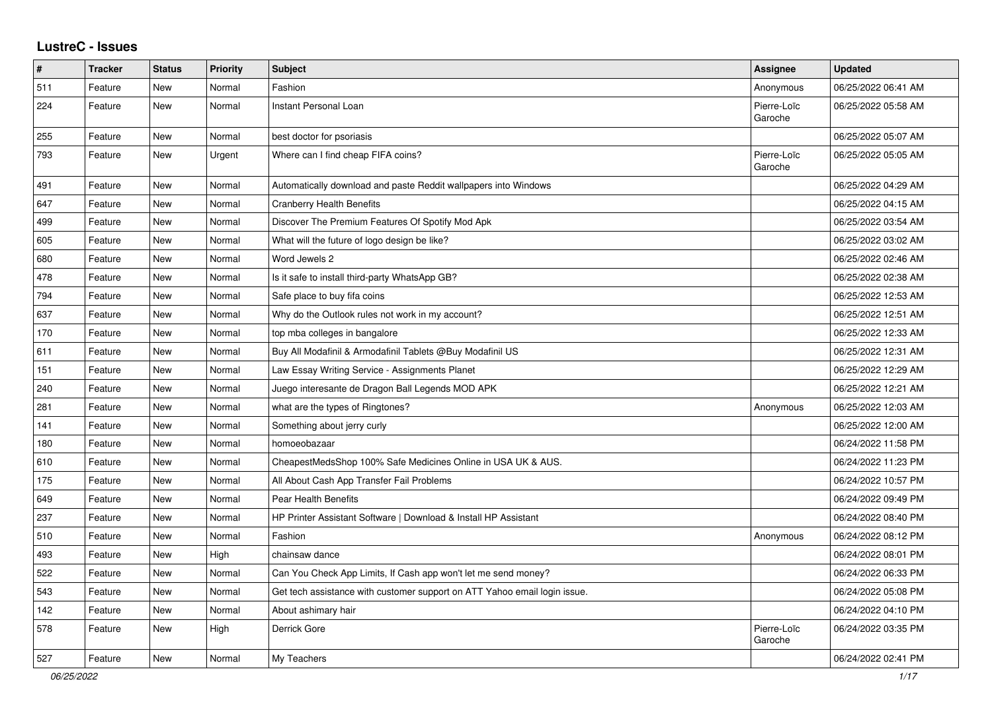## **LustreC - Issues**

| #   | <b>Tracker</b> | <b>Status</b> | <b>Priority</b> | <b>Subject</b>                                                            | Assignee               | <b>Updated</b>      |
|-----|----------------|---------------|-----------------|---------------------------------------------------------------------------|------------------------|---------------------|
| 511 | Feature        | <b>New</b>    | Normal          | Fashion                                                                   | Anonymous              | 06/25/2022 06:41 AM |
| 224 | Feature        | New           | Normal          | Instant Personal Loan                                                     | Pierre-Loïc<br>Garoche | 06/25/2022 05:58 AM |
| 255 | Feature        | New           | Normal          | best doctor for psoriasis                                                 |                        | 06/25/2022 05:07 AM |
| 793 | Feature        | New           | Urgent          | Where can I find cheap FIFA coins?                                        | Pierre-Loïc<br>Garoche | 06/25/2022 05:05 AM |
| 491 | Feature        | New           | Normal          | Automatically download and paste Reddit wallpapers into Windows           |                        | 06/25/2022 04:29 AM |
| 647 | Feature        | New           | Normal          | <b>Cranberry Health Benefits</b>                                          |                        | 06/25/2022 04:15 AM |
| 499 | Feature        | New           | Normal          | Discover The Premium Features Of Spotify Mod Apk                          |                        | 06/25/2022 03:54 AM |
| 605 | Feature        | New           | Normal          | What will the future of logo design be like?                              |                        | 06/25/2022 03:02 AM |
| 680 | Feature        | New           | Normal          | Word Jewels 2                                                             |                        | 06/25/2022 02:46 AM |
| 478 | Feature        | New           | Normal          | Is it safe to install third-party WhatsApp GB?                            |                        | 06/25/2022 02:38 AM |
| 794 | Feature        | <b>New</b>    | Normal          | Safe place to buy fifa coins                                              |                        | 06/25/2022 12:53 AM |
| 637 | Feature        | New           | Normal          | Why do the Outlook rules not work in my account?                          |                        | 06/25/2022 12:51 AM |
| 170 | Feature        | New           | Normal          | top mba colleges in bangalore                                             |                        | 06/25/2022 12:33 AM |
| 611 | Feature        | New           | Normal          | Buy All Modafinil & Armodafinil Tablets @Buy Modafinil US                 |                        | 06/25/2022 12:31 AM |
| 151 | Feature        | New           | Normal          | Law Essay Writing Service - Assignments Planet                            |                        | 06/25/2022 12:29 AM |
| 240 | Feature        | New           | Normal          | Juego interesante de Dragon Ball Legends MOD APK                          |                        | 06/25/2022 12:21 AM |
| 281 | Feature        | New           | Normal          | what are the types of Ringtones?                                          | Anonymous              | 06/25/2022 12:03 AM |
| 141 | Feature        | New           | Normal          | Something about jerry curly                                               |                        | 06/25/2022 12:00 AM |
| 180 | Feature        | New           | Normal          | homoeobazaar                                                              |                        | 06/24/2022 11:58 PM |
| 610 | Feature        | New           | Normal          | CheapestMedsShop 100% Safe Medicines Online in USA UK & AUS.              |                        | 06/24/2022 11:23 PM |
| 175 | Feature        | New           | Normal          | All About Cash App Transfer Fail Problems                                 |                        | 06/24/2022 10:57 PM |
| 649 | Feature        | New           | Normal          | Pear Health Benefits                                                      |                        | 06/24/2022 09:49 PM |
| 237 | Feature        | New           | Normal          | HP Printer Assistant Software   Download & Install HP Assistant           |                        | 06/24/2022 08:40 PM |
| 510 | Feature        | New           | Normal          | Fashion                                                                   | Anonymous              | 06/24/2022 08:12 PM |
| 493 | Feature        | <b>New</b>    | High            | chainsaw dance                                                            |                        | 06/24/2022 08:01 PM |
| 522 | Feature        | New           | Normal          | Can You Check App Limits, If Cash app won't let me send money?            |                        | 06/24/2022 06:33 PM |
| 543 | Feature        | New           | Normal          | Get tech assistance with customer support on ATT Yahoo email login issue. |                        | 06/24/2022 05:08 PM |
| 142 | Feature        | New           | Normal          | About ashimary hair                                                       |                        | 06/24/2022 04:10 PM |
| 578 | Feature        | New           | High            | Derrick Gore                                                              | Pierre-Loïc<br>Garoche | 06/24/2022 03:35 PM |
| 527 | Feature        | New           | Normal          | My Teachers                                                               |                        | 06/24/2022 02:41 PM |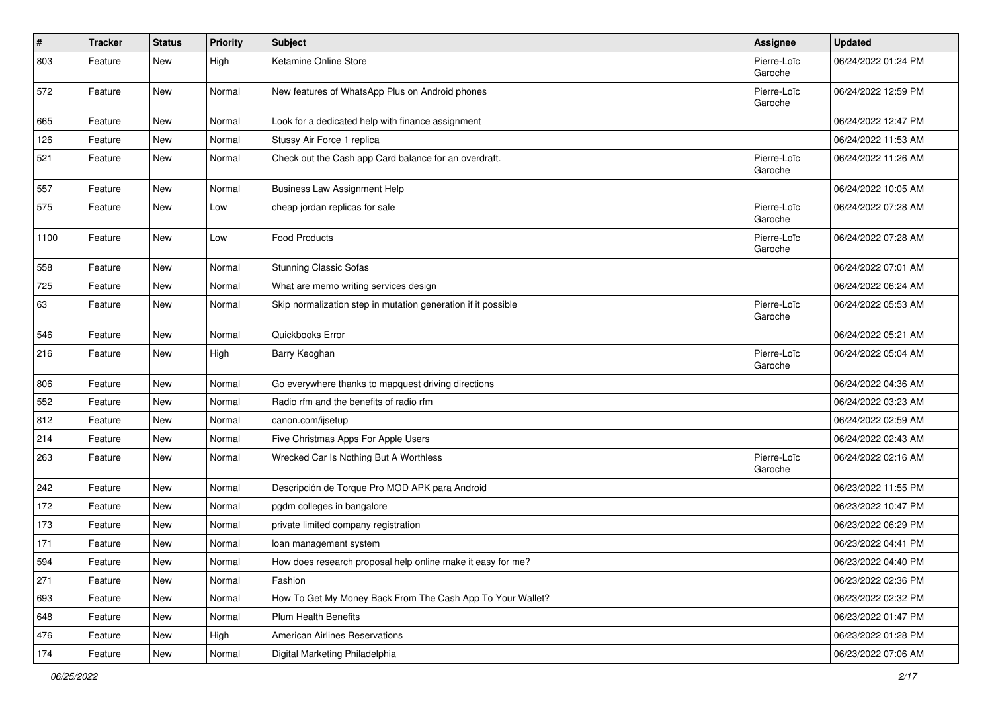| $\pmb{\sharp}$ | <b>Tracker</b> | <b>Status</b> | <b>Priority</b> | <b>Subject</b>                                                | <b>Assignee</b>        | <b>Updated</b>      |
|----------------|----------------|---------------|-----------------|---------------------------------------------------------------|------------------------|---------------------|
| 803            | Feature        | New           | High            | Ketamine Online Store                                         | Pierre-Loïc<br>Garoche | 06/24/2022 01:24 PM |
| 572            | Feature        | New           | Normal          | New features of WhatsApp Plus on Android phones               | Pierre-Loïc<br>Garoche | 06/24/2022 12:59 PM |
| 665            | Feature        | New           | Normal          | Look for a dedicated help with finance assignment             |                        | 06/24/2022 12:47 PM |
| 126            | Feature        | New           | Normal          | Stussy Air Force 1 replica                                    |                        | 06/24/2022 11:53 AM |
| 521            | Feature        | New           | Normal          | Check out the Cash app Card balance for an overdraft.         | Pierre-Loïc<br>Garoche | 06/24/2022 11:26 AM |
| 557            | Feature        | New           | Normal          | <b>Business Law Assignment Help</b>                           |                        | 06/24/2022 10:05 AM |
| 575            | Feature        | New           | Low             | cheap jordan replicas for sale                                | Pierre-Loïc<br>Garoche | 06/24/2022 07:28 AM |
| 1100           | Feature        | New           | Low             | <b>Food Products</b>                                          | Pierre-Loïc<br>Garoche | 06/24/2022 07:28 AM |
| 558            | Feature        | New           | Normal          | <b>Stunning Classic Sofas</b>                                 |                        | 06/24/2022 07:01 AM |
| 725            | Feature        | New           | Normal          | What are memo writing services design                         |                        | 06/24/2022 06:24 AM |
| 63             | Feature        | New           | Normal          | Skip normalization step in mutation generation if it possible | Pierre-Loïc<br>Garoche | 06/24/2022 05:53 AM |
| 546            | Feature        | New           | Normal          | Quickbooks Error                                              |                        | 06/24/2022 05:21 AM |
| 216            | Feature        | New           | High            | Barry Keoghan                                                 | Pierre-Loïc<br>Garoche | 06/24/2022 05:04 AM |
| 806            | Feature        | New           | Normal          | Go everywhere thanks to mapquest driving directions           |                        | 06/24/2022 04:36 AM |
| 552            | Feature        | New           | Normal          | Radio rfm and the benefits of radio rfm                       |                        | 06/24/2022 03:23 AM |
| 812            | Feature        | New           | Normal          | canon.com/ijsetup                                             |                        | 06/24/2022 02:59 AM |
| 214            | Feature        | New           | Normal          | Five Christmas Apps For Apple Users                           |                        | 06/24/2022 02:43 AM |
| 263            | Feature        | New           | Normal          | Wrecked Car Is Nothing But A Worthless                        | Pierre-Loïc<br>Garoche | 06/24/2022 02:16 AM |
| 242            | Feature        | New           | Normal          | Descripción de Torque Pro MOD APK para Android                |                        | 06/23/2022 11:55 PM |
| 172            | Feature        | New           | Normal          | pgdm colleges in bangalore                                    |                        | 06/23/2022 10:47 PM |
| 173            | Feature        | New           | Normal          | private limited company registration                          |                        | 06/23/2022 06:29 PM |
| 171            | Feature        | New           | Normal          | loan management system                                        |                        | 06/23/2022 04:41 PM |
| 594            | Feature        | New           | Normal          | How does research proposal help online make it easy for me?   |                        | 06/23/2022 04:40 PM |
| 271            | Feature        | New           | Normal          | Fashion                                                       |                        | 06/23/2022 02:36 PM |
| 693            | Feature        | New           | Normal          | How To Get My Money Back From The Cash App To Your Wallet?    |                        | 06/23/2022 02:32 PM |
| 648            | Feature        | New           | Normal          | Plum Health Benefits                                          |                        | 06/23/2022 01:47 PM |
| 476            | Feature        | New           | High            | American Airlines Reservations                                |                        | 06/23/2022 01:28 PM |
| 174            | Feature        | New           | Normal          | Digital Marketing Philadelphia                                |                        | 06/23/2022 07:06 AM |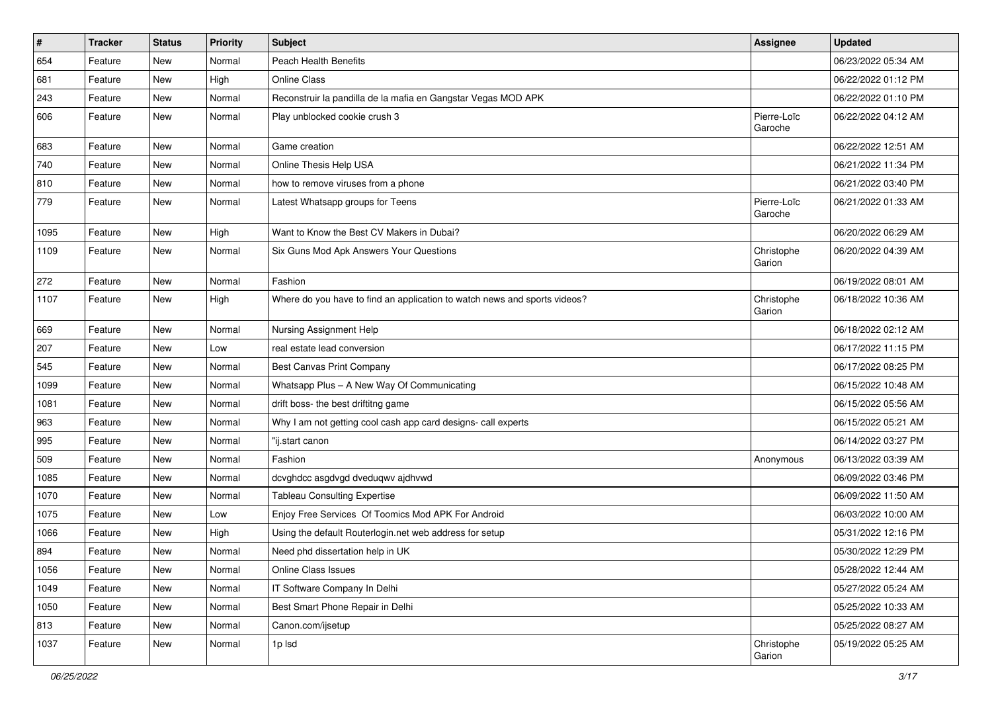| $\vert$ # | <b>Tracker</b> | <b>Status</b> | Priority | <b>Subject</b>                                                            | Assignee               | <b>Updated</b>      |
|-----------|----------------|---------------|----------|---------------------------------------------------------------------------|------------------------|---------------------|
| 654       | Feature        | New           | Normal   | <b>Peach Health Benefits</b>                                              |                        | 06/23/2022 05:34 AM |
| 681       | Feature        | New           | High     | Online Class                                                              |                        | 06/22/2022 01:12 PM |
| 243       | Feature        | New           | Normal   | Reconstruir la pandilla de la mafia en Gangstar Vegas MOD APK             |                        | 06/22/2022 01:10 PM |
| 606       | Feature        | New           | Normal   | Play unblocked cookie crush 3                                             | Pierre-Loïc<br>Garoche | 06/22/2022 04:12 AM |
| 683       | Feature        | New           | Normal   | Game creation                                                             |                        | 06/22/2022 12:51 AM |
| 740       | Feature        | New           | Normal   | Online Thesis Help USA                                                    |                        | 06/21/2022 11:34 PM |
| 810       | Feature        | New           | Normal   | how to remove viruses from a phone                                        |                        | 06/21/2022 03:40 PM |
| 779       | Feature        | New           | Normal   | Latest Whatsapp groups for Teens                                          | Pierre-Loïc<br>Garoche | 06/21/2022 01:33 AM |
| 1095      | Feature        | New           | High     | Want to Know the Best CV Makers in Dubai?                                 |                        | 06/20/2022 06:29 AM |
| 1109      | Feature        | New           | Normal   | Six Guns Mod Apk Answers Your Questions                                   | Christophe<br>Garion   | 06/20/2022 04:39 AM |
| 272       | Feature        | New           | Normal   | Fashion                                                                   |                        | 06/19/2022 08:01 AM |
| 1107      | Feature        | New           | High     | Where do you have to find an application to watch news and sports videos? | Christophe<br>Garion   | 06/18/2022 10:36 AM |
| 669       | Feature        | New           | Normal   | Nursing Assignment Help                                                   |                        | 06/18/2022 02:12 AM |
| 207       | Feature        | New           | Low      | real estate lead conversion                                               |                        | 06/17/2022 11:15 PM |
| 545       | Feature        | New           | Normal   | Best Canvas Print Company                                                 |                        | 06/17/2022 08:25 PM |
| 1099      | Feature        | New           | Normal   | Whatsapp Plus - A New Way Of Communicating                                |                        | 06/15/2022 10:48 AM |
| 1081      | Feature        | New           | Normal   | drift boss- the best driftitng game                                       |                        | 06/15/2022 05:56 AM |
| 963       | Feature        | New           | Normal   | Why I am not getting cool cash app card designs- call experts             |                        | 06/15/2022 05:21 AM |
| 995       | Feature        | New           | Normal   | "ij.start canon                                                           |                        | 06/14/2022 03:27 PM |
| 509       | Feature        | New           | Normal   | Fashion                                                                   | Anonymous              | 06/13/2022 03:39 AM |
| 1085      | Feature        | New           | Normal   | dcvghdcc asgdvgd dveduqwv ajdhvwd                                         |                        | 06/09/2022 03:46 PM |
| 1070      | Feature        | New           | Normal   | <b>Tableau Consulting Expertise</b>                                       |                        | 06/09/2022 11:50 AM |
| 1075      | Feature        | New           | Low      | Enjoy Free Services Of Toomics Mod APK For Android                        |                        | 06/03/2022 10:00 AM |
| 1066      | Feature        | New           | High     | Using the default Routerlogin.net web address for setup                   |                        | 05/31/2022 12:16 PM |
| 894       | Feature        | New           | Normal   | Need phd dissertation help in UK                                          |                        | 05/30/2022 12:29 PM |
| 1056      | Feature        | New           | Normal   | Online Class Issues                                                       |                        | 05/28/2022 12:44 AM |
| 1049      | Feature        | New           | Normal   | IT Software Company In Delhi                                              |                        | 05/27/2022 05:24 AM |
| 1050      | Feature        | New           | Normal   | Best Smart Phone Repair in Delhi                                          |                        | 05/25/2022 10:33 AM |
| 813       | Feature        | New           | Normal   | Canon.com/ijsetup                                                         |                        | 05/25/2022 08:27 AM |
| 1037      | Feature        | New           | Normal   | 1p lsd                                                                    | Christophe<br>Garion   | 05/19/2022 05:25 AM |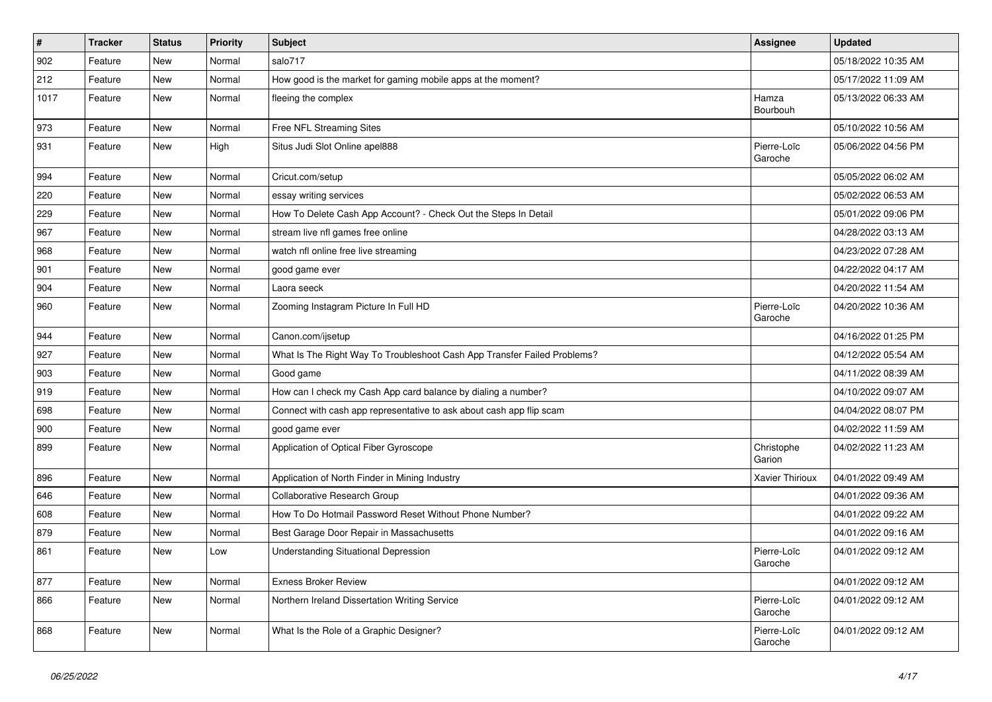| $\vert$ # | <b>Tracker</b> | <b>Status</b> | <b>Priority</b> | <b>Subject</b>                                                           | Assignee               | <b>Updated</b>      |
|-----------|----------------|---------------|-----------------|--------------------------------------------------------------------------|------------------------|---------------------|
| 902       | Feature        | <b>New</b>    | Normal          | salo717                                                                  |                        | 05/18/2022 10:35 AM |
| 212       | Feature        | <b>New</b>    | Normal          | How good is the market for gaming mobile apps at the moment?             |                        | 05/17/2022 11:09 AM |
| 1017      | Feature        | New           | Normal          | fleeing the complex                                                      | Hamza<br>Bourbouh      | 05/13/2022 06:33 AM |
| 973       | Feature        | New           | Normal          | Free NFL Streaming Sites                                                 |                        | 05/10/2022 10:56 AM |
| 931       | Feature        | New           | High            | Situs Judi Slot Online apel888                                           | Pierre-Loïc<br>Garoche | 05/06/2022 04:56 PM |
| 994       | Feature        | New           | Normal          | Cricut.com/setup                                                         |                        | 05/05/2022 06:02 AM |
| 220       | Feature        | New           | Normal          | essay writing services                                                   |                        | 05/02/2022 06:53 AM |
| 229       | Feature        | New           | Normal          | How To Delete Cash App Account? - Check Out the Steps In Detail          |                        | 05/01/2022 09:06 PM |
| 967       | Feature        | New           | Normal          | stream live nfl games free online                                        |                        | 04/28/2022 03:13 AM |
| 968       | Feature        | <b>New</b>    | Normal          | watch nfl online free live streaming                                     |                        | 04/23/2022 07:28 AM |
| 901       | Feature        | <b>New</b>    | Normal          | good game ever                                                           |                        | 04/22/2022 04:17 AM |
| 904       | Feature        | <b>New</b>    | Normal          | Laora seeck                                                              |                        | 04/20/2022 11:54 AM |
| 960       | Feature        | New           | Normal          | Zooming Instagram Picture In Full HD                                     | Pierre-Loïc<br>Garoche | 04/20/2022 10:36 AM |
| 944       | Feature        | New           | Normal          | Canon.com/ijsetup                                                        |                        | 04/16/2022 01:25 PM |
| 927       | Feature        | New           | Normal          | What Is The Right Way To Troubleshoot Cash App Transfer Failed Problems? |                        | 04/12/2022 05:54 AM |
| 903       | Feature        | New           | Normal          | Good game                                                                |                        | 04/11/2022 08:39 AM |
| 919       | Feature        | New           | Normal          | How can I check my Cash App card balance by dialing a number?            |                        | 04/10/2022 09:07 AM |
| 698       | Feature        | New           | Normal          | Connect with cash app representative to ask about cash app flip scam     |                        | 04/04/2022 08:07 PM |
| 900       | Feature        | New           | Normal          | good game ever                                                           |                        | 04/02/2022 11:59 AM |
| 899       | Feature        | New           | Normal          | Application of Optical Fiber Gyroscope                                   | Christophe<br>Garion   | 04/02/2022 11:23 AM |
| 896       | Feature        | New           | Normal          | Application of North Finder in Mining Industry                           | <b>Xavier Thirioux</b> | 04/01/2022 09:49 AM |
| 646       | Feature        | <b>New</b>    | Normal          | Collaborative Research Group                                             |                        | 04/01/2022 09:36 AM |
| 608       | Feature        | <b>New</b>    | Normal          | How To Do Hotmail Password Reset Without Phone Number?                   |                        | 04/01/2022 09:22 AM |
| 879       | Feature        | <b>New</b>    | Normal          | Best Garage Door Repair in Massachusetts                                 |                        | 04/01/2022 09:16 AM |
| 861       | Feature        | <b>New</b>    | Low             | <b>Understanding Situational Depression</b>                              | Pierre-Loïc<br>Garoche | 04/01/2022 09:12 AM |
| 877       | Feature        | New           | Normal          | <b>Exness Broker Review</b>                                              |                        | 04/01/2022 09:12 AM |
| 866       | Feature        | New           | Normal          | Northern Ireland Dissertation Writing Service                            | Pierre-Loïc<br>Garoche | 04/01/2022 09:12 AM |
| 868       | Feature        | New           | Normal          | What Is the Role of a Graphic Designer?                                  | Pierre-Loïc<br>Garoche | 04/01/2022 09:12 AM |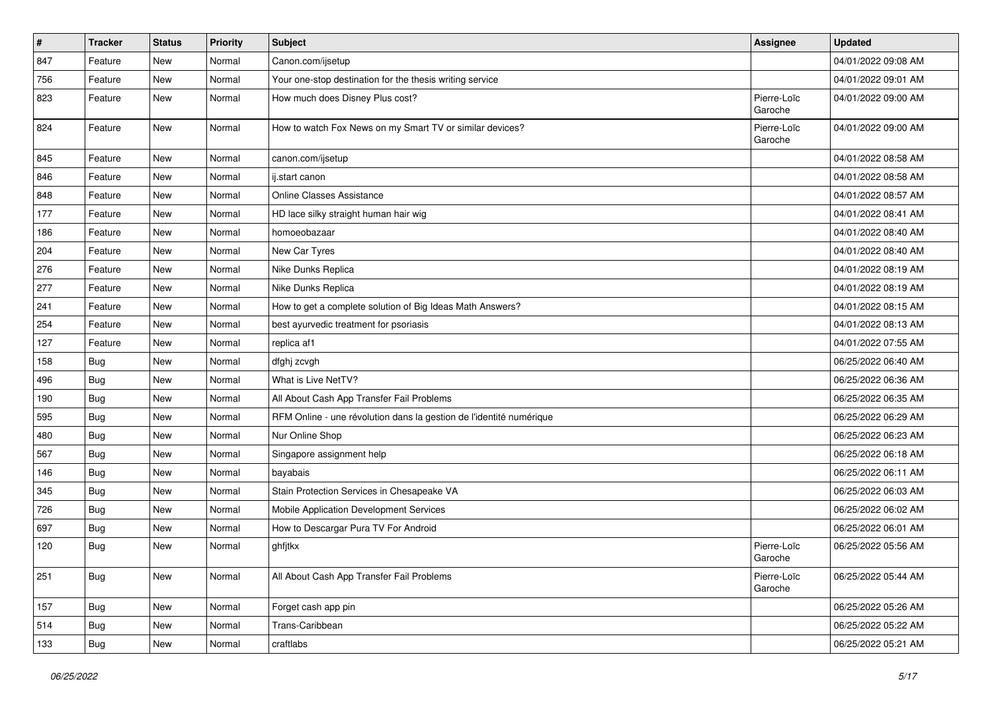| $\vert$ # | <b>Tracker</b> | <b>Status</b> | <b>Priority</b> | <b>Subject</b>                                                      | Assignee               | <b>Updated</b>      |
|-----------|----------------|---------------|-----------------|---------------------------------------------------------------------|------------------------|---------------------|
| 847       | Feature        | New           | Normal          | Canon.com/ijsetup                                                   |                        | 04/01/2022 09:08 AM |
| 756       | Feature        | New           | Normal          | Your one-stop destination for the thesis writing service            |                        | 04/01/2022 09:01 AM |
| 823       | Feature        | New           | Normal          | How much does Disney Plus cost?                                     | Pierre-Loïc<br>Garoche | 04/01/2022 09:00 AM |
| 824       | Feature        | New           | Normal          | How to watch Fox News on my Smart TV or similar devices?            | Pierre-Loïc<br>Garoche | 04/01/2022 09:00 AM |
| 845       | Feature        | <b>New</b>    | Normal          | canon.com/ijsetup                                                   |                        | 04/01/2022 08:58 AM |
| 846       | Feature        | New           | Normal          | ij.start canon                                                      |                        | 04/01/2022 08:58 AM |
| 848       | Feature        | New           | Normal          | <b>Online Classes Assistance</b>                                    |                        | 04/01/2022 08:57 AM |
| 177       | Feature        | New           | Normal          | HD lace silky straight human hair wig                               |                        | 04/01/2022 08:41 AM |
| 186       | Feature        | New           | Normal          | homoeobazaar                                                        |                        | 04/01/2022 08:40 AM |
| 204       | Feature        | New           | Normal          | New Car Tyres                                                       |                        | 04/01/2022 08:40 AM |
| 276       | Feature        | New           | Normal          | Nike Dunks Replica                                                  |                        | 04/01/2022 08:19 AM |
| 277       | Feature        | New           | Normal          | Nike Dunks Replica                                                  |                        | 04/01/2022 08:19 AM |
| 241       | Feature        | New           | Normal          | How to get a complete solution of Big Ideas Math Answers?           |                        | 04/01/2022 08:15 AM |
| 254       | Feature        | New           | Normal          | best ayurvedic treatment for psoriasis                              |                        | 04/01/2022 08:13 AM |
| 127       | Feature        | New           | Normal          | replica af1                                                         |                        | 04/01/2022 07:55 AM |
| 158       | <b>Bug</b>     | New           | Normal          | dfghj zcvgh                                                         |                        | 06/25/2022 06:40 AM |
| 496       | <b>Bug</b>     | New           | Normal          | What is Live NetTV?                                                 |                        | 06/25/2022 06:36 AM |
| 190       | <b>Bug</b>     | New           | Normal          | All About Cash App Transfer Fail Problems                           |                        | 06/25/2022 06:35 AM |
| 595       | <b>Bug</b>     | New           | Normal          | RFM Online - une révolution dans la gestion de l'identité numérique |                        | 06/25/2022 06:29 AM |
| 480       | <b>Bug</b>     | New           | Normal          | Nur Online Shop                                                     |                        | 06/25/2022 06:23 AM |
| 567       | Bug            | New           | Normal          | Singapore assignment help                                           |                        | 06/25/2022 06:18 AM |
| 146       | <b>Bug</b>     | New           | Normal          | bayabais                                                            |                        | 06/25/2022 06:11 AM |
| 345       | Bug            | New           | Normal          | Stain Protection Services in Chesapeake VA                          |                        | 06/25/2022 06:03 AM |
| 726       | <b>Bug</b>     | New           | Normal          | Mobile Application Development Services                             |                        | 06/25/2022 06:02 AM |
| 697       | <b>Bug</b>     | New           | Normal          | How to Descargar Pura TV For Android                                |                        | 06/25/2022 06:01 AM |
| 120       | <b>Bug</b>     | New           | Normal          | ghfjtkx                                                             | Pierre-Loïc<br>Garoche | 06/25/2022 05:56 AM |
| 251       | Bug            | New           | Normal          | All About Cash App Transfer Fail Problems                           | Pierre-Loïc<br>Garoche | 06/25/2022 05:44 AM |
| 157       | Bug            | New           | Normal          | Forget cash app pin                                                 |                        | 06/25/2022 05:26 AM |
| 514       | Bug            | New           | Normal          | Trans-Caribbean                                                     |                        | 06/25/2022 05:22 AM |
| 133       | Bug            | New           | Normal          | craftlabs                                                           |                        | 06/25/2022 05:21 AM |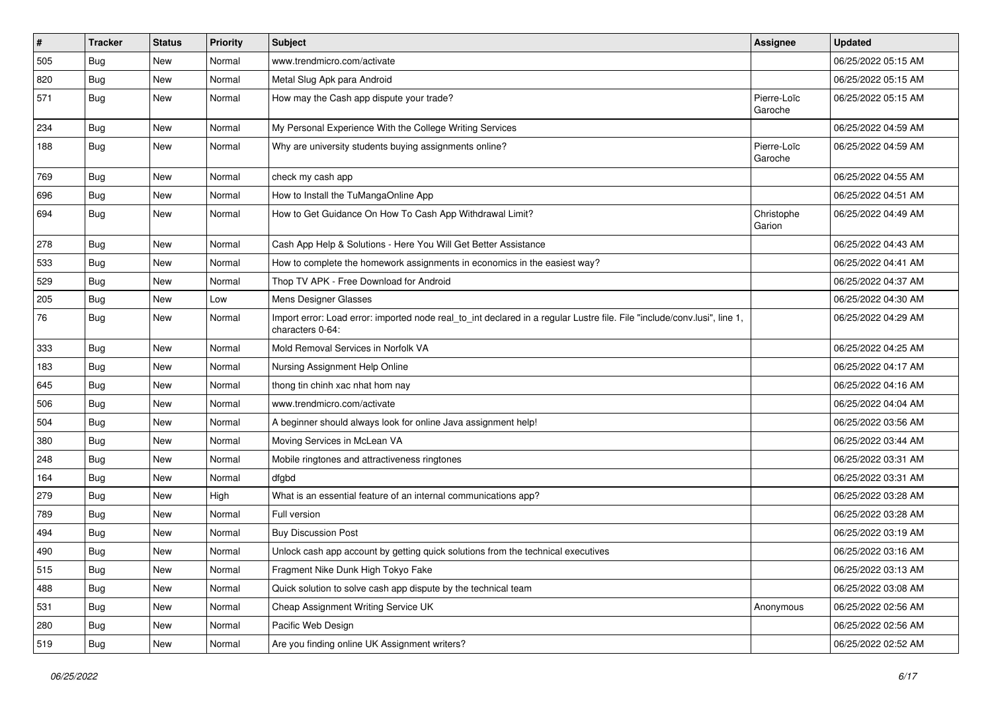| $\vert$ # | <b>Tracker</b> | <b>Status</b> | <b>Priority</b> | Subject                                                                                                                                      | <b>Assignee</b>        | <b>Updated</b>      |
|-----------|----------------|---------------|-----------------|----------------------------------------------------------------------------------------------------------------------------------------------|------------------------|---------------------|
| 505       | Bug            | New           | Normal          | www.trendmicro.com/activate                                                                                                                  |                        | 06/25/2022 05:15 AM |
| 820       | Bug            | New           | Normal          | Metal Slug Apk para Android                                                                                                                  |                        | 06/25/2022 05:15 AM |
| 571       | Bug            | New           | Normal          | How may the Cash app dispute your trade?                                                                                                     | Pierre-Loïc<br>Garoche | 06/25/2022 05:15 AM |
| 234       | Bug            | <b>New</b>    | Normal          | My Personal Experience With the College Writing Services                                                                                     |                        | 06/25/2022 04:59 AM |
| 188       | Bug            | New           | Normal          | Why are university students buying assignments online?                                                                                       | Pierre-Loïc<br>Garoche | 06/25/2022 04:59 AM |
| 769       | <b>Bug</b>     | <b>New</b>    | Normal          | check my cash app                                                                                                                            |                        | 06/25/2022 04:55 AM |
| 696       | <b>Bug</b>     | New           | Normal          | How to Install the TuMangaOnline App                                                                                                         |                        | 06/25/2022 04:51 AM |
| 694       | Bug            | New           | Normal          | How to Get Guidance On How To Cash App Withdrawal Limit?                                                                                     | Christophe<br>Garion   | 06/25/2022 04:49 AM |
| 278       | Bug            | New           | Normal          | Cash App Help & Solutions - Here You Will Get Better Assistance                                                                              |                        | 06/25/2022 04:43 AM |
| 533       | <b>Bug</b>     | New           | Normal          | How to complete the homework assignments in economics in the easiest way?                                                                    |                        | 06/25/2022 04:41 AM |
| 529       | <b>Bug</b>     | New           | Normal          | Thop TV APK - Free Download for Android                                                                                                      |                        | 06/25/2022 04:37 AM |
| 205       | Bug            | New           | Low             | Mens Designer Glasses                                                                                                                        |                        | 06/25/2022 04:30 AM |
| 76        | <b>Bug</b>     | New           | Normal          | Import error: Load error: imported node real_to_int declared in a regular Lustre file. File "include/conv.lusi", line 1,<br>characters 0-64: |                        | 06/25/2022 04:29 AM |
| 333       | Bug            | <b>New</b>    | Normal          | Mold Removal Services in Norfolk VA                                                                                                          |                        | 06/25/2022 04:25 AM |
| 183       | Bug            | New           | Normal          | Nursing Assignment Help Online                                                                                                               |                        | 06/25/2022 04:17 AM |
| 645       | Bug            | New           | Normal          | thong tin chinh xac nhat hom nay                                                                                                             |                        | 06/25/2022 04:16 AM |
| 506       | Bug            | <b>New</b>    | Normal          | www.trendmicro.com/activate                                                                                                                  |                        | 06/25/2022 04:04 AM |
| 504       | <b>Bug</b>     | New           | Normal          | A beginner should always look for online Java assignment help!                                                                               |                        | 06/25/2022 03:56 AM |
| 380       | Bug            | New           | Normal          | Moving Services in McLean VA                                                                                                                 |                        | 06/25/2022 03:44 AM |
| 248       | Bug            | New           | Normal          | Mobile ringtones and attractiveness ringtones                                                                                                |                        | 06/25/2022 03:31 AM |
| 164       | <b>Bug</b>     | New           | Normal          | dfgbd                                                                                                                                        |                        | 06/25/2022 03:31 AM |
| 279       | Bug            | New           | High            | What is an essential feature of an internal communications app?                                                                              |                        | 06/25/2022 03:28 AM |
| 789       | <b>Bug</b>     | New           | Normal          | Full version                                                                                                                                 |                        | 06/25/2022 03:28 AM |
| 494       | Bug            | New           | Normal          | <b>Buy Discussion Post</b>                                                                                                                   |                        | 06/25/2022 03:19 AM |
| 490       | <b>Bug</b>     | New           | Normal          | Unlock cash app account by getting quick solutions from the technical executives                                                             |                        | 06/25/2022 03:16 AM |
| 515       | <b>Bug</b>     | New           | Normal          | Fragment Nike Dunk High Tokyo Fake                                                                                                           |                        | 06/25/2022 03:13 AM |
| 488       | Bug            | New           | Normal          | Quick solution to solve cash app dispute by the technical team                                                                               |                        | 06/25/2022 03:08 AM |
| 531       | Bug            | New           | Normal          | Cheap Assignment Writing Service UK                                                                                                          | Anonymous              | 06/25/2022 02:56 AM |
| 280       | <b>Bug</b>     | New           | Normal          | Pacific Web Design                                                                                                                           |                        | 06/25/2022 02:56 AM |
| 519       | <b>Bug</b>     | New           | Normal          | Are you finding online UK Assignment writers?                                                                                                |                        | 06/25/2022 02:52 AM |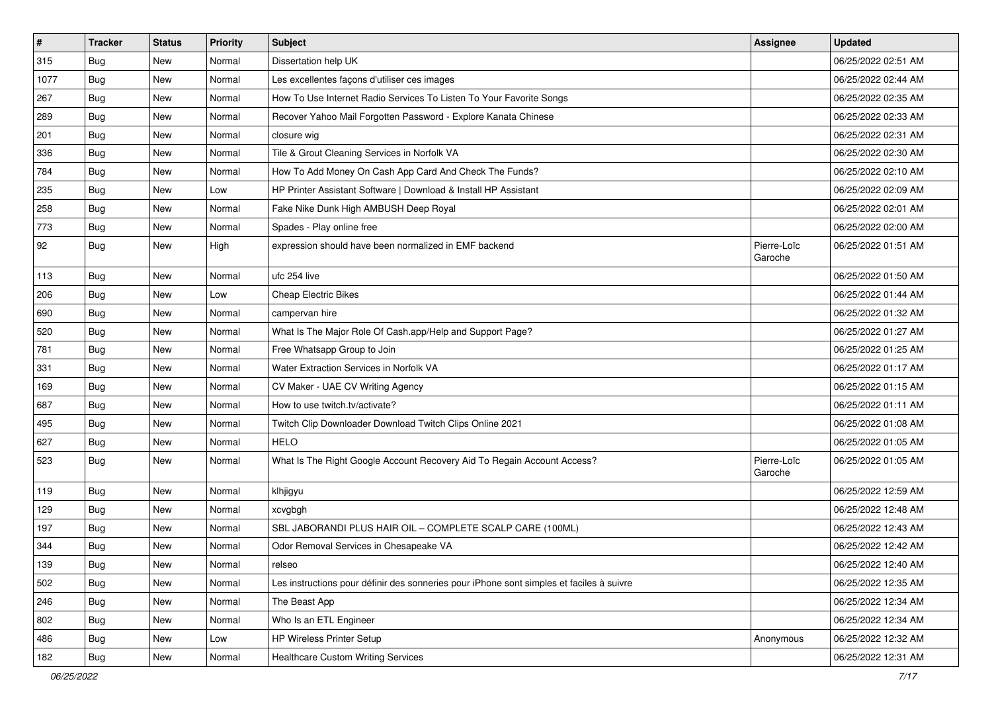| $\vert$ # | <b>Tracker</b> | <b>Status</b> | <b>Priority</b> | Subject                                                                                  | Assignee               | <b>Updated</b>      |
|-----------|----------------|---------------|-----------------|------------------------------------------------------------------------------------------|------------------------|---------------------|
| 315       | <b>Bug</b>     | New           | Normal          | Dissertation help UK                                                                     |                        | 06/25/2022 02:51 AM |
| 1077      | <b>Bug</b>     | <b>New</b>    | Normal          | Les excellentes façons d'utiliser ces images                                             |                        | 06/25/2022 02:44 AM |
| 267       | Bug            | New           | Normal          | How To Use Internet Radio Services To Listen To Your Favorite Songs                      |                        | 06/25/2022 02:35 AM |
| 289       | Bug            | New           | Normal          | Recover Yahoo Mail Forgotten Password - Explore Kanata Chinese                           |                        | 06/25/2022 02:33 AM |
| 201       | <b>Bug</b>     | <b>New</b>    | Normal          | closure wig                                                                              |                        | 06/25/2022 02:31 AM |
| 336       | Bug            | New           | Normal          | Tile & Grout Cleaning Services in Norfolk VA                                             |                        | 06/25/2022 02:30 AM |
| 784       | Bug            | <b>New</b>    | Normal          | How To Add Money On Cash App Card And Check The Funds?                                   |                        | 06/25/2022 02:10 AM |
| 235       | Bug            | New           | Low             | HP Printer Assistant Software   Download & Install HP Assistant                          |                        | 06/25/2022 02:09 AM |
| 258       | Bug            | <b>New</b>    | Normal          | Fake Nike Dunk High AMBUSH Deep Royal                                                    |                        | 06/25/2022 02:01 AM |
| 773       | Bug            | <b>New</b>    | Normal          | Spades - Play online free                                                                |                        | 06/25/2022 02:00 AM |
| 92        | Bug            | New           | High            | expression should have been normalized in EMF backend                                    | Pierre-Loïc<br>Garoche | 06/25/2022 01:51 AM |
| 113       | Bug            | <b>New</b>    | Normal          | ufc 254 live                                                                             |                        | 06/25/2022 01:50 AM |
| 206       | <b>Bug</b>     | New           | Low             | <b>Cheap Electric Bikes</b>                                                              |                        | 06/25/2022 01:44 AM |
| 690       | Bug            | <b>New</b>    | Normal          | campervan hire                                                                           |                        | 06/25/2022 01:32 AM |
| 520       | Bug            | New           | Normal          | What Is The Major Role Of Cash.app/Help and Support Page?                                |                        | 06/25/2022 01:27 AM |
| 781       | <b>Bug</b>     | <b>New</b>    | Normal          | Free Whatsapp Group to Join                                                              |                        | 06/25/2022 01:25 AM |
| 331       | Bug            | <b>New</b>    | Normal          | Water Extraction Services in Norfolk VA                                                  |                        | 06/25/2022 01:17 AM |
| 169       | <b>Bug</b>     | New           | Normal          | CV Maker - UAE CV Writing Agency                                                         |                        | 06/25/2022 01:15 AM |
| 687       | Bug            | <b>New</b>    | Normal          | How to use twitch.tv/activate?                                                           |                        | 06/25/2022 01:11 AM |
| 495       | Bug            | <b>New</b>    | Normal          | Twitch Clip Downloader Download Twitch Clips Online 2021                                 |                        | 06/25/2022 01:08 AM |
| 627       | Bug            | <b>New</b>    | Normal          | <b>HELO</b>                                                                              |                        | 06/25/2022 01:05 AM |
| 523       | <b>Bug</b>     | New           | Normal          | What Is The Right Google Account Recovery Aid To Regain Account Access?                  | Pierre-Loïc<br>Garoche | 06/25/2022 01:05 AM |
| 119       | Bug            | New           | Normal          | klhjigyu                                                                                 |                        | 06/25/2022 12:59 AM |
| 129       | Bug            | <b>New</b>    | Normal          | xcvgbgh                                                                                  |                        | 06/25/2022 12:48 AM |
| 197       | <b>Bug</b>     | New           | Normal          | SBL JABORANDI PLUS HAIR OIL - COMPLETE SCALP CARE (100ML)                                |                        | 06/25/2022 12:43 AM |
| 344       | <b>Bug</b>     | New           | Normal          | Odor Removal Services in Chesapeake VA                                                   |                        | 06/25/2022 12:42 AM |
| 139       | Bug            | New           | Normal          | relseo                                                                                   |                        | 06/25/2022 12:40 AM |
| 502       | <b>Bug</b>     | New           | Normal          | Les instructions pour définir des sonneries pour iPhone sont simples et faciles à suivre |                        | 06/25/2022 12:35 AM |
| 246       | <b>Bug</b>     | <b>New</b>    | Normal          | The Beast App                                                                            |                        | 06/25/2022 12:34 AM |
| 802       | <b>Bug</b>     | New           | Normal          | Who Is an ETL Engineer                                                                   |                        | 06/25/2022 12:34 AM |
| 486       | Bug            | New           | Low             | HP Wireless Printer Setup                                                                | Anonymous              | 06/25/2022 12:32 AM |
| 182       | Bug            | New           | Normal          | <b>Healthcare Custom Writing Services</b>                                                |                        | 06/25/2022 12:31 AM |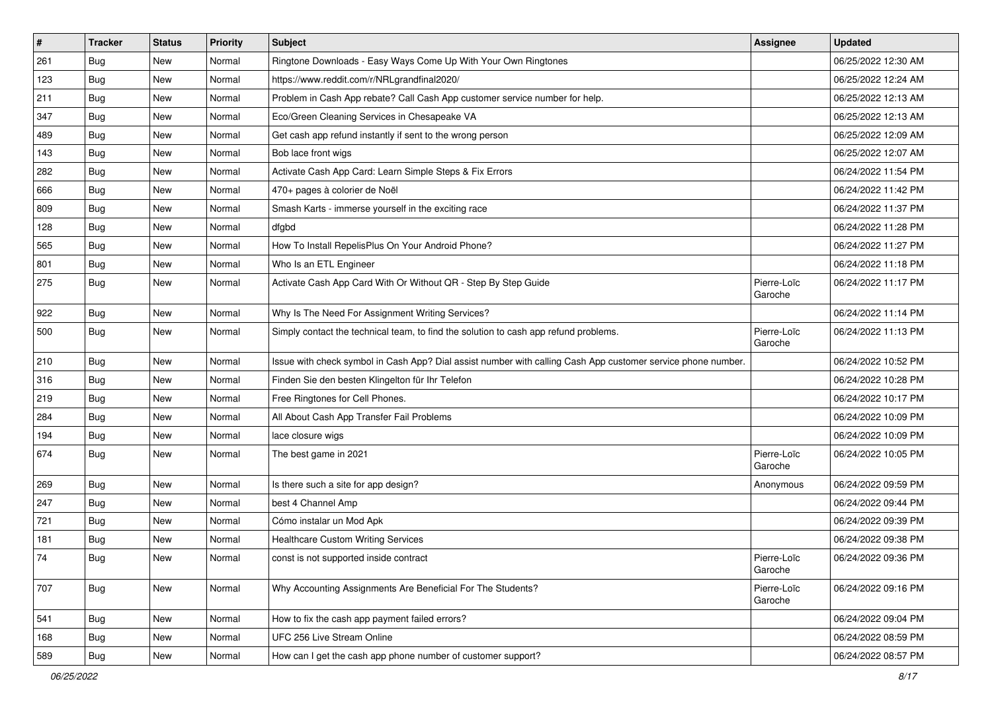| #   | <b>Tracker</b> | <b>Status</b> | <b>Priority</b> | Subject                                                                                                      | <b>Assignee</b>        | <b>Updated</b>      |
|-----|----------------|---------------|-----------------|--------------------------------------------------------------------------------------------------------------|------------------------|---------------------|
| 261 | <b>Bug</b>     | New           | Normal          | Ringtone Downloads - Easy Ways Come Up With Your Own Ringtones                                               |                        | 06/25/2022 12:30 AM |
| 123 | Bug            | New           | Normal          | https://www.reddit.com/r/NRLgrandfinal2020/                                                                  |                        | 06/25/2022 12:24 AM |
| 211 | Bug            | New           | Normal          | Problem in Cash App rebate? Call Cash App customer service number for help.                                  |                        | 06/25/2022 12:13 AM |
| 347 | Bug            | New           | Normal          | Eco/Green Cleaning Services in Chesapeake VA                                                                 |                        | 06/25/2022 12:13 AM |
| 489 | <b>Bug</b>     | New           | Normal          | Get cash app refund instantly if sent to the wrong person                                                    |                        | 06/25/2022 12:09 AM |
| 143 | <b>Bug</b>     | New           | Normal          | Bob lace front wigs                                                                                          |                        | 06/25/2022 12:07 AM |
| 282 | Bug            | New           | Normal          | Activate Cash App Card: Learn Simple Steps & Fix Errors                                                      |                        | 06/24/2022 11:54 PM |
| 666 | <b>Bug</b>     | New           | Normal          | 470+ pages à colorier de Noël                                                                                |                        | 06/24/2022 11:42 PM |
| 809 | Bug            | New           | Normal          | Smash Karts - immerse yourself in the exciting race                                                          |                        | 06/24/2022 11:37 PM |
| 128 | Bug            | New           | Normal          | dfgbd                                                                                                        |                        | 06/24/2022 11:28 PM |
| 565 | <b>Bug</b>     | New           | Normal          | How To Install RepelisPlus On Your Android Phone?                                                            |                        | 06/24/2022 11:27 PM |
| 801 | Bug            | New           | Normal          | Who Is an ETL Engineer                                                                                       |                        | 06/24/2022 11:18 PM |
| 275 | Bug            | New           | Normal          | Activate Cash App Card With Or Without QR - Step By Step Guide                                               | Pierre-Loïc<br>Garoche | 06/24/2022 11:17 PM |
| 922 | Bug            | New           | Normal          | Why Is The Need For Assignment Writing Services?                                                             |                        | 06/24/2022 11:14 PM |
| 500 | <b>Bug</b>     | New           | Normal          | Simply contact the technical team, to find the solution to cash app refund problems.                         | Pierre-Loïc<br>Garoche | 06/24/2022 11:13 PM |
| 210 | <b>Bug</b>     | New           | Normal          | Issue with check symbol in Cash App? Dial assist number with calling Cash App customer service phone number. |                        | 06/24/2022 10:52 PM |
| 316 | Bug            | New           | Normal          | Finden Sie den besten Klingelton für Ihr Telefon                                                             |                        | 06/24/2022 10:28 PM |
| 219 | <b>Bug</b>     | New           | Normal          | Free Ringtones for Cell Phones.                                                                              |                        | 06/24/2022 10:17 PM |
| 284 | Bug            | New           | Normal          | All About Cash App Transfer Fail Problems                                                                    |                        | 06/24/2022 10:09 PM |
| 194 | Bug            | New           | Normal          | lace closure wigs                                                                                            |                        | 06/24/2022 10:09 PM |
| 674 | Bug            | New           | Normal          | The best game in 2021                                                                                        | Pierre-Loïc<br>Garoche | 06/24/2022 10:05 PM |
| 269 | <b>Bug</b>     | New           | Normal          | Is there such a site for app design?                                                                         | Anonymous              | 06/24/2022 09:59 PM |
| 247 | <b>Bug</b>     | New           | Normal          | best 4 Channel Amp                                                                                           |                        | 06/24/2022 09:44 PM |
| 721 | <b>Bug</b>     | New           | Normal          | Cómo instalar un Mod Apk                                                                                     |                        | 06/24/2022 09:39 PM |
| 181 | Bug            | New           | Normal          | Healthcare Custom Writing Services                                                                           |                        | 06/24/2022 09:38 PM |
| 74  | I Bug          | New           | Normal          | const is not supported inside contract                                                                       | Pierre-Loïc<br>Garoche | 06/24/2022 09:36 PM |
| 707 | Bug            | New           | Normal          | Why Accounting Assignments Are Beneficial For The Students?                                                  | Pierre-Loïc<br>Garoche | 06/24/2022 09:16 PM |
| 541 | Bug            | New           | Normal          | How to fix the cash app payment failed errors?                                                               |                        | 06/24/2022 09:04 PM |
| 168 | Bug            | New           | Normal          | UFC 256 Live Stream Online                                                                                   |                        | 06/24/2022 08:59 PM |
| 589 | Bug            | New           | Normal          | How can I get the cash app phone number of customer support?                                                 |                        | 06/24/2022 08:57 PM |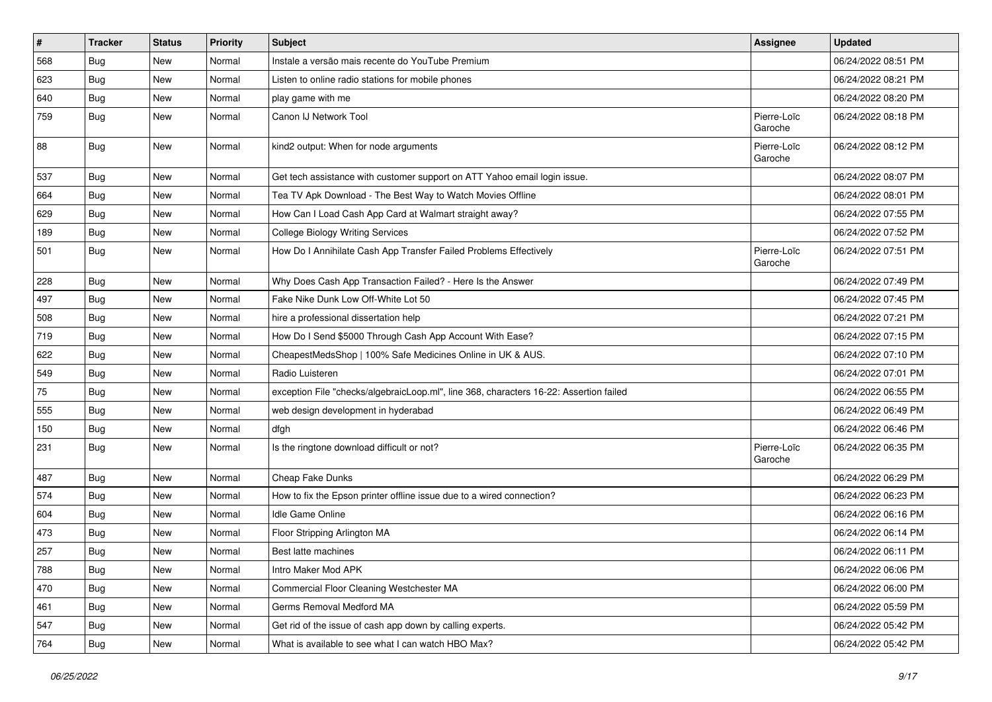| #   | <b>Tracker</b> | <b>Status</b> | <b>Priority</b> | Subject                                                                                | Assignee               | <b>Updated</b>      |
|-----|----------------|---------------|-----------------|----------------------------------------------------------------------------------------|------------------------|---------------------|
| 568 | <b>Bug</b>     | New           | Normal          | Instale a versão mais recente do YouTube Premium                                       |                        | 06/24/2022 08:51 PM |
| 623 | Bug            | New           | Normal          | Listen to online radio stations for mobile phones                                      |                        | 06/24/2022 08:21 PM |
| 640 | <b>Bug</b>     | New           | Normal          | play game with me                                                                      |                        | 06/24/2022 08:20 PM |
| 759 | Bug            | New           | Normal          | Canon IJ Network Tool                                                                  | Pierre-Loïc<br>Garoche | 06/24/2022 08:18 PM |
| 88  | <b>Bug</b>     | New           | Normal          | kind2 output: When for node arguments                                                  | Pierre-Loïc<br>Garoche | 06/24/2022 08:12 PM |
| 537 | Bug            | New           | Normal          | Get tech assistance with customer support on ATT Yahoo email login issue.              |                        | 06/24/2022 08:07 PM |
| 664 | <b>Bug</b>     | New           | Normal          | Tea TV Apk Download - The Best Way to Watch Movies Offline                             |                        | 06/24/2022 08:01 PM |
| 629 | Bug            | New           | Normal          | How Can I Load Cash App Card at Walmart straight away?                                 |                        | 06/24/2022 07:55 PM |
| 189 | <b>Bug</b>     | New           | Normal          | <b>College Biology Writing Services</b>                                                |                        | 06/24/2022 07:52 PM |
| 501 | Bug            | New           | Normal          | How Do I Annihilate Cash App Transfer Failed Problems Effectively                      | Pierre-Loïc<br>Garoche | 06/24/2022 07:51 PM |
| 228 | <b>Bug</b>     | New           | Normal          | Why Does Cash App Transaction Failed? - Here Is the Answer                             |                        | 06/24/2022 07:49 PM |
| 497 | Bug            | New           | Normal          | Fake Nike Dunk Low Off-White Lot 50                                                    |                        | 06/24/2022 07:45 PM |
| 508 | Bug            | New           | Normal          | hire a professional dissertation help                                                  |                        | 06/24/2022 07:21 PM |
| 719 | <b>Bug</b>     | <b>New</b>    | Normal          | How Do I Send \$5000 Through Cash App Account With Ease?                               |                        | 06/24/2022 07:15 PM |
| 622 | Bug            | New           | Normal          | CheapestMedsShop   100% Safe Medicines Online in UK & AUS.                             |                        | 06/24/2022 07:10 PM |
| 549 | <b>Bug</b>     | New           | Normal          | Radio Luisteren                                                                        |                        | 06/24/2022 07:01 PM |
| 75  | <b>Bug</b>     | New           | Normal          | exception File "checks/algebraicLoop.ml", line 368, characters 16-22: Assertion failed |                        | 06/24/2022 06:55 PM |
| 555 | Bug            | New           | Normal          | web design development in hyderabad                                                    |                        | 06/24/2022 06:49 PM |
| 150 | Bug            | New           | Normal          | dfgh                                                                                   |                        | 06/24/2022 06:46 PM |
| 231 | Bug            | New           | Normal          | Is the ringtone download difficult or not?                                             | Pierre-Loïc<br>Garoche | 06/24/2022 06:35 PM |
| 487 | <b>Bug</b>     | New           | Normal          | Cheap Fake Dunks                                                                       |                        | 06/24/2022 06:29 PM |
| 574 | Bug            | New           | Normal          | How to fix the Epson printer offline issue due to a wired connection?                  |                        | 06/24/2022 06:23 PM |
| 604 | <b>Bug</b>     | New           | Normal          | Idle Game Online                                                                       |                        | 06/24/2022 06:16 PM |
| 473 | <b>Bug</b>     | New           | Normal          | Floor Stripping Arlington MA                                                           |                        | 06/24/2022 06:14 PM |
| 257 | Bug            | New           | Normal          | Best latte machines                                                                    |                        | 06/24/2022 06:11 PM |
| 788 | Bug            | New           | Normal          | Intro Maker Mod APK                                                                    |                        | 06/24/2022 06:06 PM |
| 470 | Bug            | New           | Normal          | Commercial Floor Cleaning Westchester MA                                               |                        | 06/24/2022 06:00 PM |
| 461 | <b>Bug</b>     | New           | Normal          | Germs Removal Medford MA                                                               |                        | 06/24/2022 05:59 PM |
| 547 | Bug            | New           | Normal          | Get rid of the issue of cash app down by calling experts.                              |                        | 06/24/2022 05:42 PM |
| 764 | <b>Bug</b>     | New           | Normal          | What is available to see what I can watch HBO Max?                                     |                        | 06/24/2022 05:42 PM |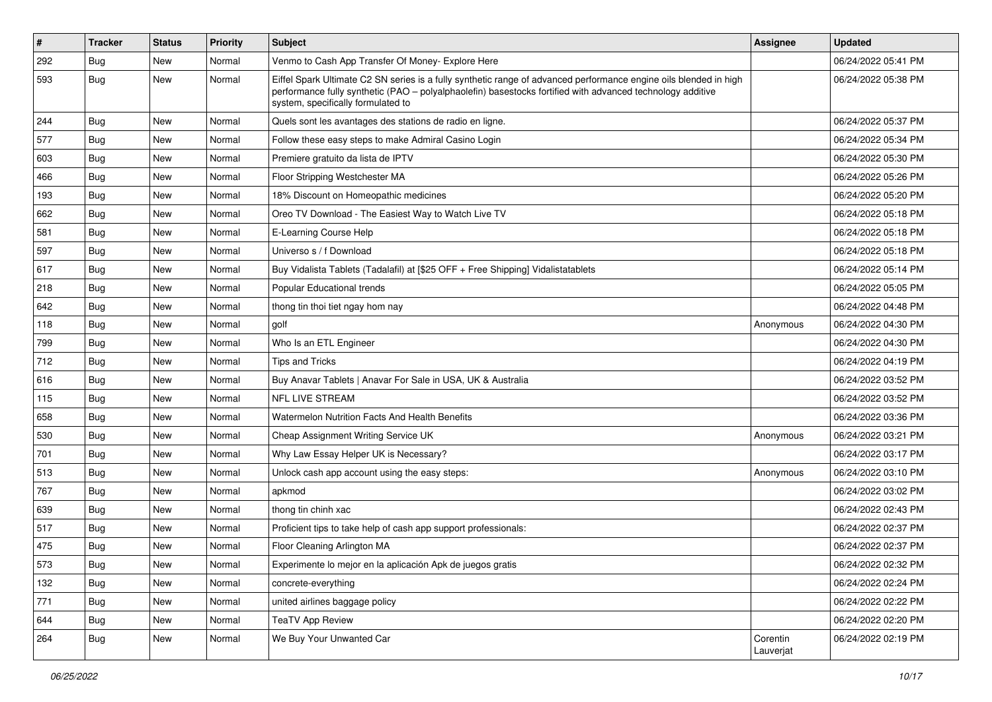| $\vert$ # | <b>Tracker</b> | <b>Status</b> | Priority | Subject                                                                                                                                                                                                                                                               | Assignee              | <b>Updated</b>      |
|-----------|----------------|---------------|----------|-----------------------------------------------------------------------------------------------------------------------------------------------------------------------------------------------------------------------------------------------------------------------|-----------------------|---------------------|
| 292       | <b>Bug</b>     | New           | Normal   | Venmo to Cash App Transfer Of Money- Explore Here                                                                                                                                                                                                                     |                       | 06/24/2022 05:41 PM |
| 593       | <b>Bug</b>     | New           | Normal   | Eiffel Spark Ultimate C2 SN series is a fully synthetic range of advanced performance engine oils blended in high<br>performance fully synthetic (PAO - polyalphaolefin) basestocks fortified with advanced technology additive<br>system, specifically formulated to |                       | 06/24/2022 05:38 PM |
| 244       | Bug            | <b>New</b>    | Normal   | Quels sont les avantages des stations de radio en ligne.                                                                                                                                                                                                              |                       | 06/24/2022 05:37 PM |
| 577       | Bug            | New           | Normal   | Follow these easy steps to make Admiral Casino Login                                                                                                                                                                                                                  |                       | 06/24/2022 05:34 PM |
| 603       | Bug            | New           | Normal   | Premiere gratuito da lista de IPTV                                                                                                                                                                                                                                    |                       | 06/24/2022 05:30 PM |
| 466       | Bug            | New           | Normal   | Floor Stripping Westchester MA                                                                                                                                                                                                                                        |                       | 06/24/2022 05:26 PM |
| 193       | Bug            | New           | Normal   | 18% Discount on Homeopathic medicines                                                                                                                                                                                                                                 |                       | 06/24/2022 05:20 PM |
| 662       | <b>Bug</b>     | New           | Normal   | Oreo TV Download - The Easiest Way to Watch Live TV                                                                                                                                                                                                                   |                       | 06/24/2022 05:18 PM |
| 581       | Bug            | New           | Normal   | E-Learning Course Help                                                                                                                                                                                                                                                |                       | 06/24/2022 05:18 PM |
| 597       | Bug            | <b>New</b>    | Normal   | Universo s / f Download                                                                                                                                                                                                                                               |                       | 06/24/2022 05:18 PM |
| 617       | Bug            | New           | Normal   | Buy Vidalista Tablets (Tadalafil) at [\$25 OFF + Free Shipping] Vidalistatablets                                                                                                                                                                                      |                       | 06/24/2022 05:14 PM |
| 218       | <b>Bug</b>     | New           | Normal   | Popular Educational trends                                                                                                                                                                                                                                            |                       | 06/24/2022 05:05 PM |
| 642       | Bug            | New           | Normal   | thong tin thoi tiet ngay hom nay                                                                                                                                                                                                                                      |                       | 06/24/2022 04:48 PM |
| 118       | Bug            | <b>New</b>    | Normal   | golf                                                                                                                                                                                                                                                                  | Anonymous             | 06/24/2022 04:30 PM |
| 799       | <b>Bug</b>     | New           | Normal   | Who Is an ETL Engineer                                                                                                                                                                                                                                                |                       | 06/24/2022 04:30 PM |
| 712       | Bug            | New           | Normal   | <b>Tips and Tricks</b>                                                                                                                                                                                                                                                |                       | 06/24/2022 04:19 PM |
| 616       | <b>Bug</b>     | New           | Normal   | Buy Anavar Tablets   Anavar For Sale in USA, UK & Australia                                                                                                                                                                                                           |                       | 06/24/2022 03:52 PM |
| 115       | Bug            | New           | Normal   | <b>NFL LIVE STREAM</b>                                                                                                                                                                                                                                                |                       | 06/24/2022 03:52 PM |
| 658       | Bug            | New           | Normal   | Watermelon Nutrition Facts And Health Benefits                                                                                                                                                                                                                        |                       | 06/24/2022 03:36 PM |
| 530       | Bug            | New           | Normal   | Cheap Assignment Writing Service UK                                                                                                                                                                                                                                   | Anonymous             | 06/24/2022 03:21 PM |
| 701       | <b>Bug</b>     | New           | Normal   | Why Law Essay Helper UK is Necessary?                                                                                                                                                                                                                                 |                       | 06/24/2022 03:17 PM |
| 513       | Bug            | New           | Normal   | Unlock cash app account using the easy steps:                                                                                                                                                                                                                         | Anonymous             | 06/24/2022 03:10 PM |
| 767       | <b>Bug</b>     | <b>New</b>    | Normal   | apkmod                                                                                                                                                                                                                                                                |                       | 06/24/2022 03:02 PM |
| 639       | Bug            | New           | Normal   | thong tin chinh xac                                                                                                                                                                                                                                                   |                       | 06/24/2022 02:43 PM |
| 517       | <b>Bug</b>     | New           | Normal   | Proficient tips to take help of cash app support professionals:                                                                                                                                                                                                       |                       | 06/24/2022 02:37 PM |
| 475       | <b>Bug</b>     | New           | Normal   | Floor Cleaning Arlington MA                                                                                                                                                                                                                                           |                       | 06/24/2022 02:37 PM |
| 573       | Bug            | New           | Normal   | Experimente lo mejor en la aplicación Apk de juegos gratis                                                                                                                                                                                                            |                       | 06/24/2022 02:32 PM |
| 132       | Bug            | New           | Normal   | concrete-everything                                                                                                                                                                                                                                                   |                       | 06/24/2022 02:24 PM |
| 771       | Bug            | New           | Normal   | united airlines baggage policy                                                                                                                                                                                                                                        |                       | 06/24/2022 02:22 PM |
| 644       | Bug            | New           | Normal   | <b>TeaTV App Review</b>                                                                                                                                                                                                                                               |                       | 06/24/2022 02:20 PM |
| 264       | Bug            | New           | Normal   | We Buy Your Unwanted Car                                                                                                                                                                                                                                              | Corentin<br>Lauverjat | 06/24/2022 02:19 PM |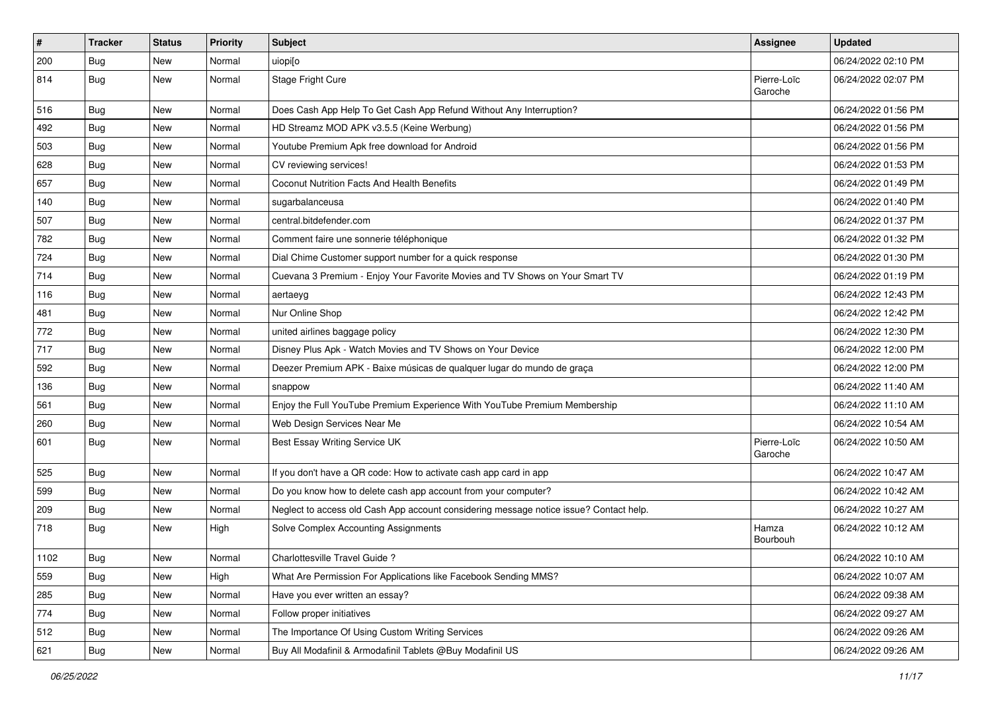| $\vert$ # | <b>Tracker</b> | <b>Status</b> | <b>Priority</b> | <b>Subject</b>                                                                         | <b>Assignee</b>        | <b>Updated</b>      |
|-----------|----------------|---------------|-----------------|----------------------------------------------------------------------------------------|------------------------|---------------------|
| 200       | <b>Bug</b>     | New           | Normal          | uiopi[o                                                                                |                        | 06/24/2022 02:10 PM |
| 814       | Bug            | New           | Normal          | Stage Fright Cure                                                                      | Pierre-Loïc<br>Garoche | 06/24/2022 02:07 PM |
| 516       | Bug            | New           | Normal          | Does Cash App Help To Get Cash App Refund Without Any Interruption?                    |                        | 06/24/2022 01:56 PM |
| 492       | Bug            | New           | Normal          | HD Streamz MOD APK v3.5.5 (Keine Werbung)                                              |                        | 06/24/2022 01:56 PM |
| 503       | Bug            | New           | Normal          | Youtube Premium Apk free download for Android                                          |                        | 06/24/2022 01:56 PM |
| 628       | <b>Bug</b>     | New           | Normal          | CV reviewing services!                                                                 |                        | 06/24/2022 01:53 PM |
| 657       | Bug            | New           | Normal          | Coconut Nutrition Facts And Health Benefits                                            |                        | 06/24/2022 01:49 PM |
| 140       | <b>Bug</b>     | New           | Normal          | sugarbalanceusa                                                                        |                        | 06/24/2022 01:40 PM |
| 507       | Bug            | <b>New</b>    | Normal          | central.bitdefender.com                                                                |                        | 06/24/2022 01:37 PM |
| 782       | Bug            | New           | Normal          | Comment faire une sonnerie téléphonique                                                |                        | 06/24/2022 01:32 PM |
| 724       | Bug            | New           | Normal          | Dial Chime Customer support number for a quick response                                |                        | 06/24/2022 01:30 PM |
| 714       | Bug            | New           | Normal          | Cuevana 3 Premium - Enjoy Your Favorite Movies and TV Shows on Your Smart TV           |                        | 06/24/2022 01:19 PM |
| 116       | <b>Bug</b>     | New           | Normal          | aertaeyg                                                                               |                        | 06/24/2022 12:43 PM |
| 481       | Bug            | New           | Normal          | Nur Online Shop                                                                        |                        | 06/24/2022 12:42 PM |
| 772       | <b>Bug</b>     | New           | Normal          | united airlines baggage policy                                                         |                        | 06/24/2022 12:30 PM |
| 717       | <b>Bug</b>     | New           | Normal          | Disney Plus Apk - Watch Movies and TV Shows on Your Device                             |                        | 06/24/2022 12:00 PM |
| 592       | Bug            | New           | Normal          | Deezer Premium APK - Baixe músicas de qualquer lugar do mundo de graça                 |                        | 06/24/2022 12:00 PM |
| 136       | <b>Bug</b>     | New           | Normal          | snappow                                                                                |                        | 06/24/2022 11:40 AM |
| 561       | Bug            | New           | Normal          | Enjoy the Full YouTube Premium Experience With YouTube Premium Membership              |                        | 06/24/2022 11:10 AM |
| 260       | Bug            | New           | Normal          | Web Design Services Near Me                                                            |                        | 06/24/2022 10:54 AM |
| 601       | Bug            | New           | Normal          | Best Essay Writing Service UK                                                          | Pierre-Loïc<br>Garoche | 06/24/2022 10:50 AM |
| 525       | Bug            | New           | Normal          | If you don't have a QR code: How to activate cash app card in app                      |                        | 06/24/2022 10:47 AM |
| 599       | <b>Bug</b>     | New           | Normal          | Do you know how to delete cash app account from your computer?                         |                        | 06/24/2022 10:42 AM |
| 209       | Bug            | New           | Normal          | Neglect to access old Cash App account considering message notice issue? Contact help. |                        | 06/24/2022 10:27 AM |
| 718       | Bug            | New           | High            | Solve Complex Accounting Assignments                                                   | Hamza<br>Bourbouh      | 06/24/2022 10:12 AM |
| 1102      | Bug            | New           | Normal          | Charlottesville Travel Guide?                                                          |                        | 06/24/2022 10:10 AM |
| 559       | <b>Bug</b>     | New           | High            | What Are Permission For Applications like Facebook Sending MMS?                        |                        | 06/24/2022 10:07 AM |
| 285       | Bug            | New           | Normal          | Have you ever written an essay?                                                        |                        | 06/24/2022 09:38 AM |
| 774       | Bug            | New           | Normal          | Follow proper initiatives                                                              |                        | 06/24/2022 09:27 AM |
| 512       | Bug            | New           | Normal          | The Importance Of Using Custom Writing Services                                        |                        | 06/24/2022 09:26 AM |
| 621       | <b>Bug</b>     | New           | Normal          | Buy All Modafinil & Armodafinil Tablets @Buy Modafinil US                              |                        | 06/24/2022 09:26 AM |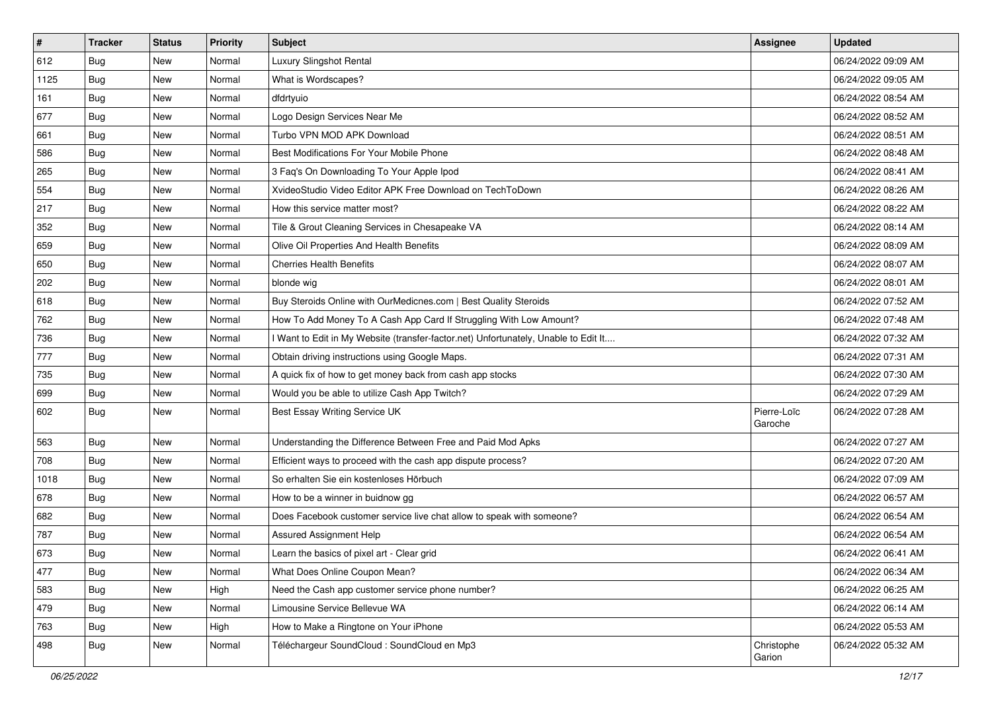| $\vert$ # | <b>Tracker</b> | <b>Status</b> | <b>Priority</b> | <b>Subject</b>                                                                      | <b>Assignee</b>        | <b>Updated</b>      |
|-----------|----------------|---------------|-----------------|-------------------------------------------------------------------------------------|------------------------|---------------------|
| 612       | <b>Bug</b>     | New           | Normal          | Luxury Slingshot Rental                                                             |                        | 06/24/2022 09:09 AM |
| 1125      | Bug            | New           | Normal          | What is Wordscapes?                                                                 |                        | 06/24/2022 09:05 AM |
| 161       | Bug            | New           | Normal          | dfdrtyuio                                                                           |                        | 06/24/2022 08:54 AM |
| 677       | Bug            | New           | Normal          | Logo Design Services Near Me                                                        |                        | 06/24/2022 08:52 AM |
| 661       | Bug            | New           | Normal          | Turbo VPN MOD APK Download                                                          |                        | 06/24/2022 08:51 AM |
| 586       | <b>Bug</b>     | New           | Normal          | Best Modifications For Your Mobile Phone                                            |                        | 06/24/2022 08:48 AM |
| 265       | Bug            | New           | Normal          | 3 Faq's On Downloading To Your Apple Ipod                                           |                        | 06/24/2022 08:41 AM |
| 554       | Bug            | New           | Normal          | XvideoStudio Video Editor APK Free Download on TechToDown                           |                        | 06/24/2022 08:26 AM |
| 217       | Bug            | New           | Normal          | How this service matter most?                                                       |                        | 06/24/2022 08:22 AM |
| 352       | Bug            | New           | Normal          | Tile & Grout Cleaning Services in Chesapeake VA                                     |                        | 06/24/2022 08:14 AM |
| 659       | <b>Bug</b>     | New           | Normal          | Olive Oil Properties And Health Benefits                                            |                        | 06/24/2022 08:09 AM |
| 650       | Bug            | New           | Normal          | <b>Cherries Health Benefits</b>                                                     |                        | 06/24/2022 08:07 AM |
| 202       | Bug            | New           | Normal          | blonde wig                                                                          |                        | 06/24/2022 08:01 AM |
| 618       | <b>Bug</b>     | New           | Normal          | Buy Steroids Online with OurMedicnes.com   Best Quality Steroids                    |                        | 06/24/2022 07:52 AM |
| 762       | Bug            | New           | Normal          | How To Add Money To A Cash App Card If Struggling With Low Amount?                  |                        | 06/24/2022 07:48 AM |
| 736       | Bug            | New           | Normal          | I Want to Edit in My Website (transfer-factor.net) Unfortunately, Unable to Edit It |                        | 06/24/2022 07:32 AM |
| 777       | <b>Bug</b>     | New           | Normal          | Obtain driving instructions using Google Maps.                                      |                        | 06/24/2022 07:31 AM |
| 735       | Bug            | New           | Normal          | A quick fix of how to get money back from cash app stocks                           |                        | 06/24/2022 07:30 AM |
| 699       | Bug            | New           | Normal          | Would you be able to utilize Cash App Twitch?                                       |                        | 06/24/2022 07:29 AM |
| 602       | <b>Bug</b>     | New           | Normal          | Best Essay Writing Service UK                                                       | Pierre-Loïc<br>Garoche | 06/24/2022 07:28 AM |
| 563       | Bug            | New           | Normal          | Understanding the Difference Between Free and Paid Mod Apks                         |                        | 06/24/2022 07:27 AM |
| 708       | Bug            | New           | Normal          | Efficient ways to proceed with the cash app dispute process?                        |                        | 06/24/2022 07:20 AM |
| 1018      | <b>Bug</b>     | New           | Normal          | So erhalten Sie ein kostenloses Hörbuch                                             |                        | 06/24/2022 07:09 AM |
| 678       | <b>Bug</b>     | New           | Normal          | How to be a winner in buidnow gg                                                    |                        | 06/24/2022 06:57 AM |
| 682       | Bug            | New           | Normal          | Does Facebook customer service live chat allow to speak with someone?               |                        | 06/24/2022 06:54 AM |
| 787       | <b>Bug</b>     | New           | Normal          | Assured Assignment Help                                                             |                        | 06/24/2022 06:54 AM |
| 673       | <b>Bug</b>     | New           | Normal          | Learn the basics of pixel art - Clear grid                                          |                        | 06/24/2022 06:41 AM |
| 477       | <b>Bug</b>     | New           | Normal          | What Does Online Coupon Mean?                                                       |                        | 06/24/2022 06:34 AM |
| 583       | Bug            | New           | High            | Need the Cash app customer service phone number?                                    |                        | 06/24/2022 06:25 AM |
| 479       | <b>Bug</b>     | New           | Normal          | Limousine Service Bellevue WA                                                       |                        | 06/24/2022 06:14 AM |
| 763       | <b>Bug</b>     | New           | High            | How to Make a Ringtone on Your iPhone                                               |                        | 06/24/2022 05:53 AM |
| 498       | <b>Bug</b>     | New           | Normal          | Téléchargeur SoundCloud : SoundCloud en Mp3                                         | Christophe<br>Garion   | 06/24/2022 05:32 AM |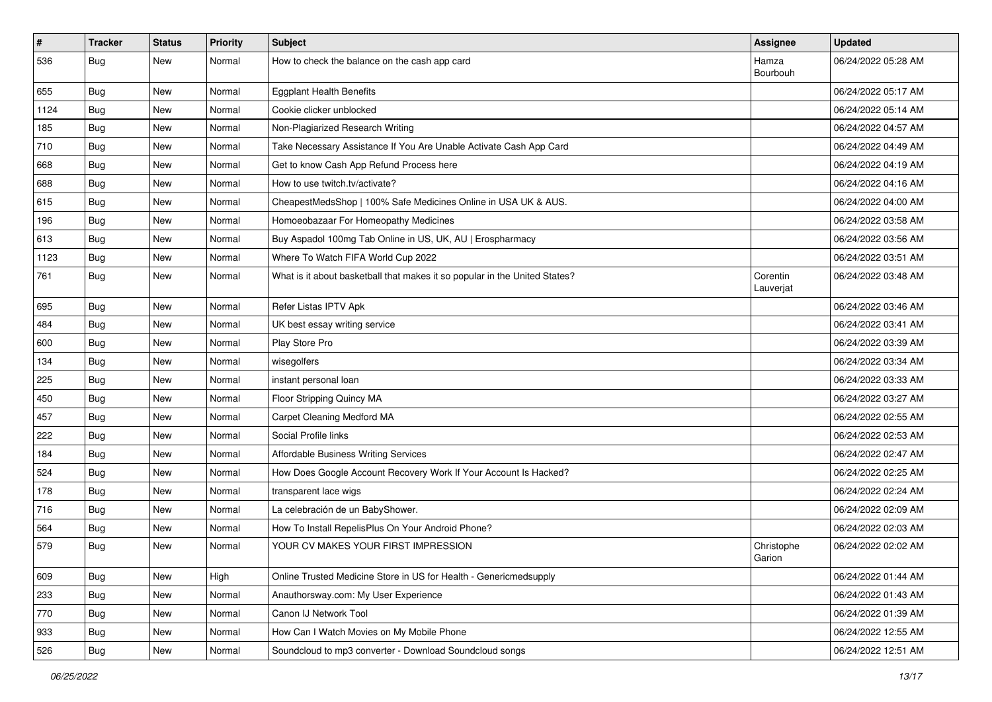| $\pmb{\#}$ | <b>Tracker</b> | <b>Status</b> | <b>Priority</b> | <b>Subject</b>                                                             | <b>Assignee</b>       | <b>Updated</b>      |
|------------|----------------|---------------|-----------------|----------------------------------------------------------------------------|-----------------------|---------------------|
| 536        | <b>Bug</b>     | New           | Normal          | How to check the balance on the cash app card                              | Hamza<br>Bourbouh     | 06/24/2022 05:28 AM |
| 655        | Bug            | New           | Normal          | <b>Eggplant Health Benefits</b>                                            |                       | 06/24/2022 05:17 AM |
| 1124       | Bug            | New           | Normal          | Cookie clicker unblocked                                                   |                       | 06/24/2022 05:14 AM |
| 185        | Bug            | New           | Normal          | Non-Plagiarized Research Writing                                           |                       | 06/24/2022 04:57 AM |
| 710        | Bug            | New           | Normal          | Take Necessary Assistance If You Are Unable Activate Cash App Card         |                       | 06/24/2022 04:49 AM |
| 668        | Bug            | <b>New</b>    | Normal          | Get to know Cash App Refund Process here                                   |                       | 06/24/2022 04:19 AM |
| 688        | <b>Bug</b>     | New           | Normal          | How to use twitch.tv/activate?                                             |                       | 06/24/2022 04:16 AM |
| 615        | Bug            | New           | Normal          | CheapestMedsShop   100% Safe Medicines Online in USA UK & AUS.             |                       | 06/24/2022 04:00 AM |
| 196        | Bug            | New           | Normal          | Homoeobazaar For Homeopathy Medicines                                      |                       | 06/24/2022 03:58 AM |
| 613        | Bug            | New           | Normal          | Buy Aspadol 100mg Tab Online in US, UK, AU   Erospharmacy                  |                       | 06/24/2022 03:56 AM |
| 1123       | Bug            | New           | Normal          | Where To Watch FIFA World Cup 2022                                         |                       | 06/24/2022 03:51 AM |
| 761        | Bug            | New           | Normal          | What is it about basketball that makes it so popular in the United States? | Corentin<br>Lauverjat | 06/24/2022 03:48 AM |
| 695        | Bug            | <b>New</b>    | Normal          | Refer Listas IPTV Apk                                                      |                       | 06/24/2022 03:46 AM |
| 484        | Bug            | New           | Normal          | UK best essay writing service                                              |                       | 06/24/2022 03:41 AM |
| 600        | Bug            | New           | Normal          | Play Store Pro                                                             |                       | 06/24/2022 03:39 AM |
| 134        | Bug            | New           | Normal          | wisegolfers                                                                |                       | 06/24/2022 03:34 AM |
| 225        | <b>Bug</b>     | New           | Normal          | instant personal loan                                                      |                       | 06/24/2022 03:33 AM |
| 450        | Bug            | New           | Normal          | Floor Stripping Quincy MA                                                  |                       | 06/24/2022 03:27 AM |
| 457        | Bug            | New           | Normal          | Carpet Cleaning Medford MA                                                 |                       | 06/24/2022 02:55 AM |
| 222        | <b>Bug</b>     | New           | Normal          | Social Profile links                                                       |                       | 06/24/2022 02:53 AM |
| 184        | Bug            | New           | Normal          | Affordable Business Writing Services                                       |                       | 06/24/2022 02:47 AM |
| 524        | Bug            | New           | Normal          | How Does Google Account Recovery Work If Your Account Is Hacked?           |                       | 06/24/2022 02:25 AM |
| 178        | <b>Bug</b>     | New           | Normal          | transparent lace wigs                                                      |                       | 06/24/2022 02:24 AM |
| 716        | Bug            | New           | Normal          | La celebración de un BabyShower.                                           |                       | 06/24/2022 02:09 AM |
| 564        | Bug            | New           | Normal          | How To Install RepelisPlus On Your Android Phone?                          |                       | 06/24/2022 02:03 AM |
| 579        | Bug            | New           | Normal          | YOUR CV MAKES YOUR FIRST IMPRESSION                                        | Christophe<br>Garion  | 06/24/2022 02:02 AM |
| 609        | Bug            | New           | High            | Online Trusted Medicine Store in US for Health - Genericmedsupply          |                       | 06/24/2022 01:44 AM |
| 233        | <b>Bug</b>     | New           | Normal          | Anauthorsway.com: My User Experience                                       |                       | 06/24/2022 01:43 AM |
| 770        | <b>Bug</b>     | New           | Normal          | Canon IJ Network Tool                                                      |                       | 06/24/2022 01:39 AM |
| 933        | <b>Bug</b>     | New           | Normal          | How Can I Watch Movies on My Mobile Phone                                  |                       | 06/24/2022 12:55 AM |
| 526        | <b>Bug</b>     | New           | Normal          | Soundcloud to mp3 converter - Download Soundcloud songs                    |                       | 06/24/2022 12:51 AM |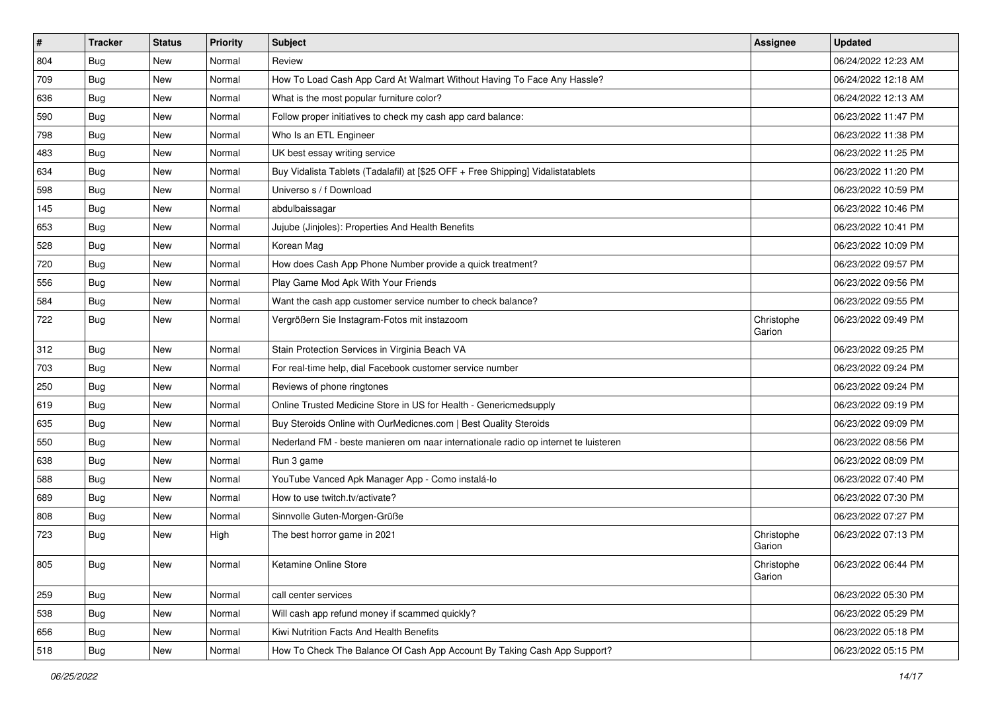| #   | <b>Tracker</b> | <b>Status</b> | Priority | <b>Subject</b>                                                                      | <b>Assignee</b>      | <b>Updated</b>      |
|-----|----------------|---------------|----------|-------------------------------------------------------------------------------------|----------------------|---------------------|
| 804 | <b>Bug</b>     | New           | Normal   | Review                                                                              |                      | 06/24/2022 12:23 AM |
| 709 | Bug            | New           | Normal   | How To Load Cash App Card At Walmart Without Having To Face Any Hassle?             |                      | 06/24/2022 12:18 AM |
| 636 | <b>Bug</b>     | New           | Normal   | What is the most popular furniture color?                                           |                      | 06/24/2022 12:13 AM |
| 590 | <b>Bug</b>     | New           | Normal   | Follow proper initiatives to check my cash app card balance:                        |                      | 06/23/2022 11:47 PM |
| 798 | Bug            | New           | Normal   | Who Is an ETL Engineer                                                              |                      | 06/23/2022 11:38 PM |
| 483 | Bug            | New           | Normal   | UK best essay writing service                                                       |                      | 06/23/2022 11:25 PM |
| 634 | <b>Bug</b>     | New           | Normal   | Buy Vidalista Tablets (Tadalafil) at [\$25 OFF + Free Shipping] Vidalistatablets    |                      | 06/23/2022 11:20 PM |
| 598 | Bug            | <b>New</b>    | Normal   | Universo s / f Download                                                             |                      | 06/23/2022 10:59 PM |
| 145 | Bug            | New           | Normal   | abdulbaissagar                                                                      |                      | 06/23/2022 10:46 PM |
| 653 | Bug            | <b>New</b>    | Normal   | Jujube (Jinjoles): Properties And Health Benefits                                   |                      | 06/23/2022 10:41 PM |
| 528 | Bug            | New           | Normal   | Korean Mag                                                                          |                      | 06/23/2022 10:09 PM |
| 720 | <b>Bug</b>     | New           | Normal   | How does Cash App Phone Number provide a quick treatment?                           |                      | 06/23/2022 09:57 PM |
| 556 | Bug            | New           | Normal   | Play Game Mod Apk With Your Friends                                                 |                      | 06/23/2022 09:56 PM |
| 584 | Bug            | New           | Normal   | Want the cash app customer service number to check balance?                         |                      | 06/23/2022 09:55 PM |
| 722 | <b>Bug</b>     | New           | Normal   | Vergrößern Sie Instagram-Fotos mit instazoom                                        | Christophe<br>Garion | 06/23/2022 09:49 PM |
| 312 | Bug            | <b>New</b>    | Normal   | Stain Protection Services in Virginia Beach VA                                      |                      | 06/23/2022 09:25 PM |
| 703 | Bug            | New           | Normal   | For real-time help, dial Facebook customer service number                           |                      | 06/23/2022 09:24 PM |
| 250 | <b>Bug</b>     | New           | Normal   | Reviews of phone ringtones                                                          |                      | 06/23/2022 09:24 PM |
| 619 | <b>Bug</b>     | New           | Normal   | Online Trusted Medicine Store in US for Health - Genericmedsupply                   |                      | 06/23/2022 09:19 PM |
| 635 | Bug            | New           | Normal   | Buy Steroids Online with OurMedicnes.com   Best Quality Steroids                    |                      | 06/23/2022 09:09 PM |
| 550 | <b>Bug</b>     | New           | Normal   | Nederland FM - beste manieren om naar internationale radio op internet te luisteren |                      | 06/23/2022 08:56 PM |
| 638 | <b>Bug</b>     | <b>New</b>    | Normal   | Run 3 game                                                                          |                      | 06/23/2022 08:09 PM |
| 588 | Bug            | New           | Normal   | YouTube Vanced Apk Manager App - Como instalá-lo                                    |                      | 06/23/2022 07:40 PM |
| 689 | <b>Bug</b>     | New           | Normal   | How to use twitch.tv/activate?                                                      |                      | 06/23/2022 07:30 PM |
| 808 | Bug            | New           | Normal   | Sinnvolle Guten-Morgen-Grüße                                                        |                      | 06/23/2022 07:27 PM |
| 723 | <b>Bug</b>     | New           | High     | The best horror game in 2021                                                        | Christophe<br>Garion | 06/23/2022 07:13 PM |
| 805 | <b>Bug</b>     | New           | Normal   | Ketamine Online Store                                                               | Christophe<br>Garion | 06/23/2022 06:44 PM |
| 259 | Bug            | New           | Normal   | call center services                                                                |                      | 06/23/2022 05:30 PM |
| 538 | <b>Bug</b>     | New           | Normal   | Will cash app refund money if scammed quickly?                                      |                      | 06/23/2022 05:29 PM |
| 656 | <b>Bug</b>     | New           | Normal   | Kiwi Nutrition Facts And Health Benefits                                            |                      | 06/23/2022 05:18 PM |
| 518 | Bug            | New           | Normal   | How To Check The Balance Of Cash App Account By Taking Cash App Support?            |                      | 06/23/2022 05:15 PM |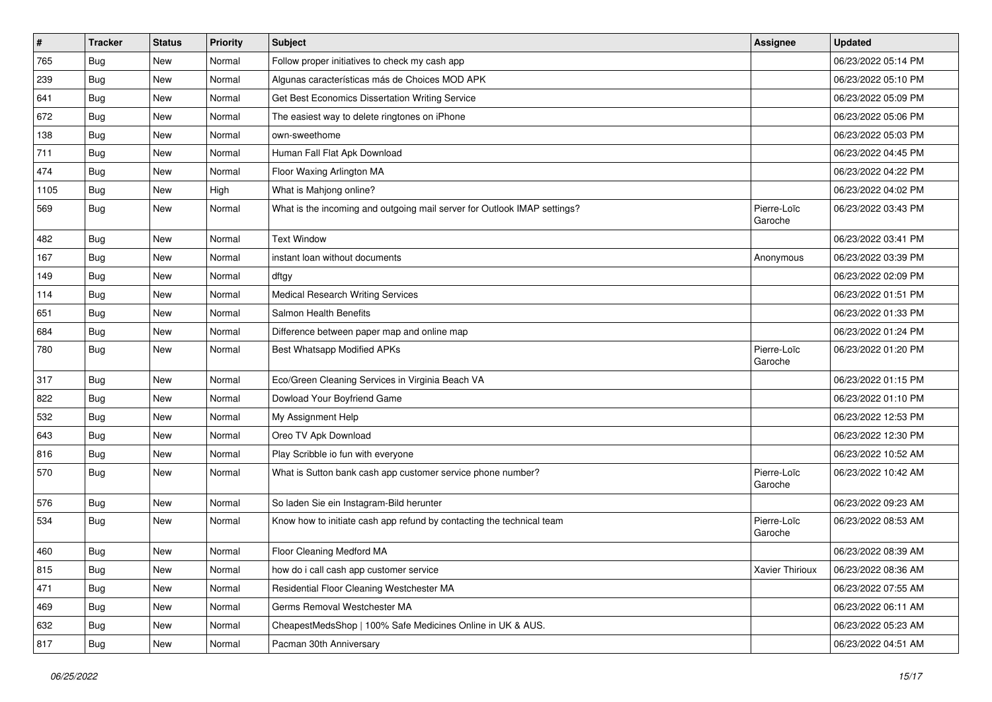| #    | <b>Tracker</b> | <b>Status</b> | <b>Priority</b> | <b>Subject</b>                                                           | Assignee               | <b>Updated</b>      |
|------|----------------|---------------|-----------------|--------------------------------------------------------------------------|------------------------|---------------------|
| 765  | <b>Bug</b>     | New           | Normal          | Follow proper initiatives to check my cash app                           |                        | 06/23/2022 05:14 PM |
| 239  | <b>Bug</b>     | <b>New</b>    | Normal          | Algunas características más de Choices MOD APK                           |                        | 06/23/2022 05:10 PM |
| 641  | Bug            | New           | Normal          | Get Best Economics Dissertation Writing Service                          |                        | 06/23/2022 05:09 PM |
| 672  | <b>Bug</b>     | New           | Normal          | The easiest way to delete ringtones on iPhone                            |                        | 06/23/2022 05:06 PM |
| 138  | <b>Bug</b>     | <b>New</b>    | Normal          | own-sweethome                                                            |                        | 06/23/2022 05:03 PM |
| 711  | Bug            | New           | Normal          | Human Fall Flat Apk Download                                             |                        | 06/23/2022 04:45 PM |
| 474  | Bug            | <b>New</b>    | Normal          | Floor Waxing Arlington MA                                                |                        | 06/23/2022 04:22 PM |
| 1105 | Bug            | New           | High            | What is Mahjong online?                                                  |                        | 06/23/2022 04:02 PM |
| 569  | <b>Bug</b>     | <b>New</b>    | Normal          | What is the incoming and outgoing mail server for Outlook IMAP settings? | Pierre-Loïc<br>Garoche | 06/23/2022 03:43 PM |
| 482  | Bug            | <b>New</b>    | Normal          | <b>Text Window</b>                                                       |                        | 06/23/2022 03:41 PM |
| 167  | Bug            | <b>New</b>    | Normal          | instant loan without documents                                           | Anonymous              | 06/23/2022 03:39 PM |
| 149  | <b>Bug</b>     | <b>New</b>    | Normal          | dftgy                                                                    |                        | 06/23/2022 02:09 PM |
| 114  | <b>Bug</b>     | New           | Normal          | <b>Medical Research Writing Services</b>                                 |                        | 06/23/2022 01:51 PM |
| 651  | <b>Bug</b>     | <b>New</b>    | Normal          | Salmon Health Benefits                                                   |                        | 06/23/2022 01:33 PM |
| 684  | <b>Bug</b>     | New           | Normal          | Difference between paper map and online map                              |                        | 06/23/2022 01:24 PM |
| 780  | <b>Bug</b>     | New           | Normal          | <b>Best Whatsapp Modified APKs</b>                                       | Pierre-Loïc<br>Garoche | 06/23/2022 01:20 PM |
| 317  | <b>Bug</b>     | <b>New</b>    | Normal          | Eco/Green Cleaning Services in Virginia Beach VA                         |                        | 06/23/2022 01:15 PM |
| 822  | Bug            | New           | Normal          | Dowload Your Boyfriend Game                                              |                        | 06/23/2022 01:10 PM |
| 532  | <b>Bug</b>     | <b>New</b>    | Normal          | My Assignment Help                                                       |                        | 06/23/2022 12:53 PM |
| 643  | <b>Bug</b>     | <b>New</b>    | Normal          | Oreo TV Apk Download                                                     |                        | 06/23/2022 12:30 PM |
| 816  | Bug            | <b>New</b>    | Normal          | Play Scribble io fun with everyone                                       |                        | 06/23/2022 10:52 AM |
| 570  | <b>Bug</b>     | New           | Normal          | What is Sutton bank cash app customer service phone number?              | Pierre-Loïc<br>Garoche | 06/23/2022 10:42 AM |
| 576  | <b>Bug</b>     | <b>New</b>    | Normal          | So laden Sie ein Instagram-Bild herunter                                 |                        | 06/23/2022 09:23 AM |
| 534  | <b>Bug</b>     | New           | Normal          | Know how to initiate cash app refund by contacting the technical team    | Pierre-Loïc<br>Garoche | 06/23/2022 08:53 AM |
| 460  | <b>Bug</b>     | <b>New</b>    | Normal          | Floor Cleaning Medford MA                                                |                        | 06/23/2022 08:39 AM |
| 815  | <b>Bug</b>     | New           | Normal          | how do i call cash app customer service                                  | Xavier Thirioux        | 06/23/2022 08:36 AM |
| 471  | Bug            | New           | Normal          | Residential Floor Cleaning Westchester MA                                |                        | 06/23/2022 07:55 AM |
| 469  | Bug            | New           | Normal          | Germs Removal Westchester MA                                             |                        | 06/23/2022 06:11 AM |
| 632  | Bug            | New           | Normal          | CheapestMedsShop   100% Safe Medicines Online in UK & AUS.               |                        | 06/23/2022 05:23 AM |
| 817  | <b>Bug</b>     | New           | Normal          | Pacman 30th Anniversary                                                  |                        | 06/23/2022 04:51 AM |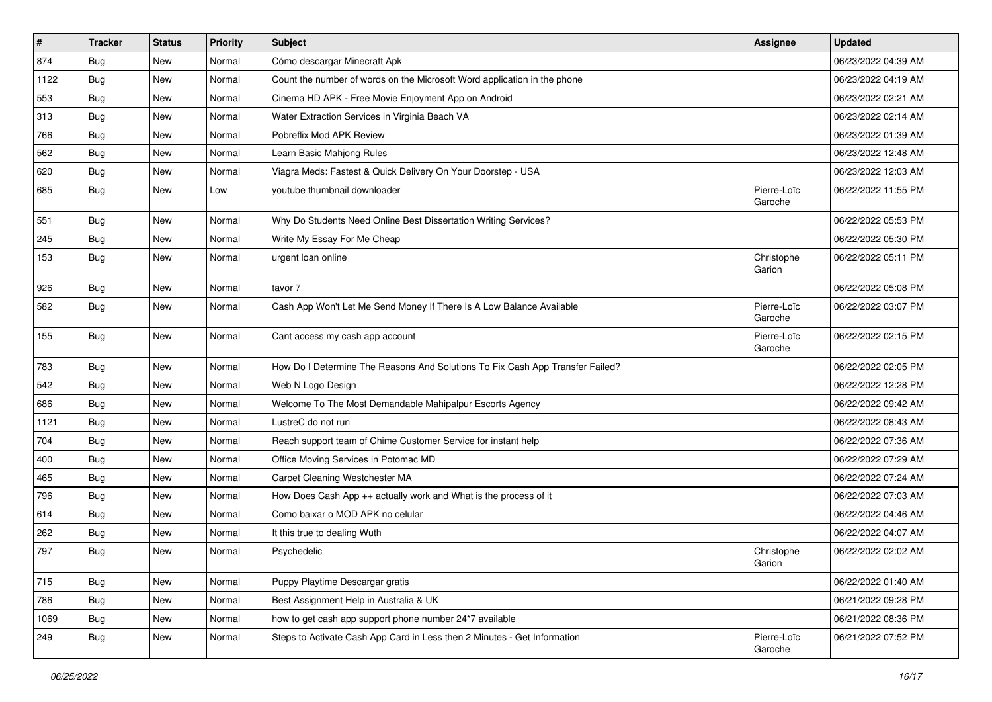| $\vert$ # | <b>Tracker</b> | <b>Status</b> | <b>Priority</b> | Subject                                                                       | <b>Assignee</b>        | <b>Updated</b>      |
|-----------|----------------|---------------|-----------------|-------------------------------------------------------------------------------|------------------------|---------------------|
| 874       | Bug            | New           | Normal          | Cómo descargar Minecraft Apk                                                  |                        | 06/23/2022 04:39 AM |
| 1122      | Bug            | <b>New</b>    | Normal          | Count the number of words on the Microsoft Word application in the phone      |                        | 06/23/2022 04:19 AM |
| 553       | Bug            | New           | Normal          | Cinema HD APK - Free Movie Enjoyment App on Android                           |                        | 06/23/2022 02:21 AM |
| 313       | Bug            | New           | Normal          | Water Extraction Services in Virginia Beach VA                                |                        | 06/23/2022 02:14 AM |
| 766       | <b>Bug</b>     | <b>New</b>    | Normal          | Pobreflix Mod APK Review                                                      |                        | 06/23/2022 01:39 AM |
| 562       | <b>Bug</b>     | New           | Normal          | Learn Basic Mahjong Rules                                                     |                        | 06/23/2022 12:48 AM |
| 620       | Bug            | New           | Normal          | Viagra Meds: Fastest & Quick Delivery On Your Doorstep - USA                  |                        | 06/23/2022 12:03 AM |
| 685       | <b>Bug</b>     | New           | Low             | youtube thumbnail downloader                                                  | Pierre-Loïc<br>Garoche | 06/22/2022 11:55 PM |
| 551       | <b>Bug</b>     | <b>New</b>    | Normal          | Why Do Students Need Online Best Dissertation Writing Services?               |                        | 06/22/2022 05:53 PM |
| 245       | Bug            | New           | Normal          | Write My Essay For Me Cheap                                                   |                        | 06/22/2022 05:30 PM |
| 153       | Bug            | New           | Normal          | urgent loan online                                                            | Christophe<br>Garion   | 06/22/2022 05:11 PM |
| 926       | <b>Bug</b>     | <b>New</b>    | Normal          | tavor 7                                                                       |                        | 06/22/2022 05:08 PM |
| 582       | Bug            | New           | Normal          | Cash App Won't Let Me Send Money If There Is A Low Balance Available          | Pierre-Loïc<br>Garoche | 06/22/2022 03:07 PM |
| 155       | <b>Bug</b>     | <b>New</b>    | Normal          | Cant access my cash app account                                               | Pierre-Loïc<br>Garoche | 06/22/2022 02:15 PM |
| 783       | Bug            | New           | Normal          | How Do I Determine The Reasons And Solutions To Fix Cash App Transfer Failed? |                        | 06/22/2022 02:05 PM |
| 542       | Bug            | New           | Normal          | Web N Logo Design                                                             |                        | 06/22/2022 12:28 PM |
| 686       | Bug            | <b>New</b>    | Normal          | Welcome To The Most Demandable Mahipalpur Escorts Agency                      |                        | 06/22/2022 09:42 AM |
| 1121      | <b>Bug</b>     | New           | Normal          | LustreC do not run                                                            |                        | 06/22/2022 08:43 AM |
| 704       | Bug            | New           | Normal          | Reach support team of Chime Customer Service for instant help                 |                        | 06/22/2022 07:36 AM |
| 400       | <b>Bug</b>     | New           | Normal          | Office Moving Services in Potomac MD                                          |                        | 06/22/2022 07:29 AM |
| 465       | <b>Bug</b>     | New           | Normal          | Carpet Cleaning Westchester MA                                                |                        | 06/22/2022 07:24 AM |
| 796       | Bug            | New           | Normal          | How Does Cash App ++ actually work and What is the process of it              |                        | 06/22/2022 07:03 AM |
| 614       | <b>Bug</b>     | New           | Normal          | Como baixar o MOD APK no celular                                              |                        | 06/22/2022 04:46 AM |
| 262       | Bug            | New           | Normal          | It this true to dealing Wuth                                                  |                        | 06/22/2022 04:07 AM |
| 797       | <b>Bug</b>     | New           | Normal          | Psychedelic                                                                   | Christophe<br>Garion   | 06/22/2022 02:02 AM |
| 715       | Bug            | New           | Normal          | Puppy Playtime Descargar gratis                                               |                        | 06/22/2022 01:40 AM |
| 786       | Bug            | New           | Normal          | Best Assignment Help in Australia & UK                                        |                        | 06/21/2022 09:28 PM |
| 1069      | Bug            | New           | Normal          | how to get cash app support phone number 24*7 available                       |                        | 06/21/2022 08:36 PM |
| 249       | <b>Bug</b>     | New           | Normal          | Steps to Activate Cash App Card in Less then 2 Minutes - Get Information      | Pierre-Loïc<br>Garoche | 06/21/2022 07:52 PM |